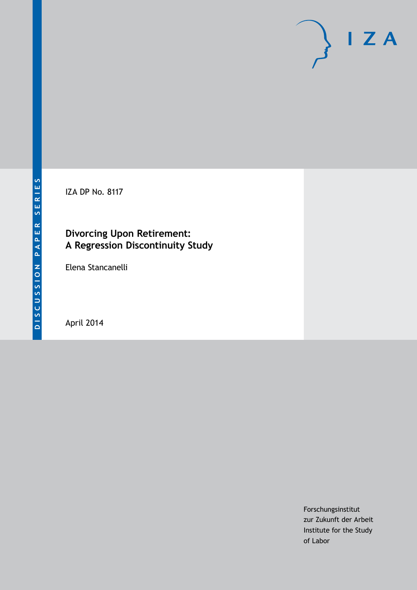IZA DP No. 8117

# **Divorcing Upon Retirement: A Regression Discontinuity Study**

Elena Stancanelli

April 2014

Forschungsinstitut zur Zukunft der Arbeit Institute for the Study of Labor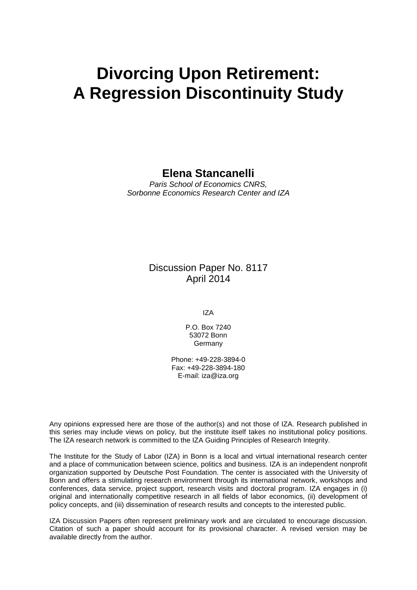# **Divorcing Upon Retirement: A Regression Discontinuity Study**

### **Elena Stancanelli**

*Paris School of Economics CNRS, Sorbonne Economics Research Center and IZA*

> Discussion Paper No. 8117 April 2014

> > IZA

P.O. Box 7240 53072 Bonn Germany

Phone: +49-228-3894-0 Fax: +49-228-3894-180 E-mail: [iza@iza.org](mailto:iza@iza.org)

Any opinions expressed here are those of the author(s) and not those of IZA. Research published in this series may include views on policy, but the institute itself takes no institutional policy positions. The IZA research network is committed to the IZA Guiding Principles of Research Integrity.

The Institute for the Study of Labor (IZA) in Bonn is a local and virtual international research center and a place of communication between science, politics and business. IZA is an independent nonprofit organization supported by Deutsche Post Foundation. The center is associated with the University of Bonn and offers a stimulating research environment through its international network, workshops and conferences, data service, project support, research visits and doctoral program. IZA engages in (i) original and internationally competitive research in all fields of labor economics, (ii) development of policy concepts, and (iii) dissemination of research results and concepts to the interested public.

IZA Discussion Papers often represent preliminary work and are circulated to encourage discussion. Citation of such a paper should account for its provisional character. A revised version may be available directly from the author.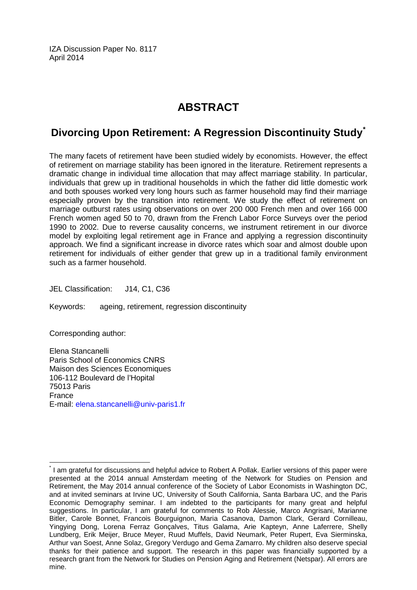IZA Discussion Paper No. 8117 April 2014

# **ABSTRACT**

# **Divorcing Upon Retirement: A Regression Discontinuity Study[\\*](#page-2-0)**

The many facets of retirement have been studied widely by economists. However, the effect of retirement on marriage stability has been ignored in the literature. Retirement represents a dramatic change in individual time allocation that may affect marriage stability. In particular, individuals that grew up in traditional households in which the father did little domestic work and both spouses worked very long hours such as farmer household may find their marriage especially proven by the transition into retirement. We study the effect of retirement on marriage outburst rates using observations on over 200 000 French men and over 166 000 French women aged 50 to 70, drawn from the French Labor Force Surveys over the period 1990 to 2002. Due to reverse causality concerns, we instrument retirement in our divorce model by exploiting legal retirement age in France and applying a regression discontinuity approach. We find a significant increase in divorce rates which soar and almost double upon retirement for individuals of either gender that grew up in a traditional family environment such as a farmer household.

JEL Classification: J14, C1, C36

Keywords: ageing, retirement, regression discontinuity

Corresponding author:

Elena Stancanelli Paris School of Economics CNRS Maison des Sciences Economiques 106-112 Boulevard de l'Hopital 75013 Paris France E-mail: [elena.stancanelli@univ-paris1.fr](mailto:elena.stancanelli@univ-paris1.fr)

<span id="page-2-0"></span>\* I am grateful for discussions and helpful advice to Robert A Pollak. Earlier versions of this paper were presented at the 2014 annual Amsterdam meeting of the Network for Studies on Pension and Retirement, the May 2014 annual conference of the Society of Labor Economists in Washington DC, and at invited seminars at Irvine UC, University of South California, Santa Barbara UC, and the Paris Economic Demography seminar. I am indebted to the participants for many great and helpful suggestions. In particular, I am grateful for comments to Rob Alessie, Marco Angrisani, Marianne Bitler, Carole Bonnet, Francois Bourguignon, Maria Casanova, Damon Clark, Gerard Cornilleau, Yingying Dong, Lorena Ferraz Gonçalves, Titus Galama, Arie Kapteyn, Anne Laferrere, Shelly Lundberg, Erik Meijer, Bruce Meyer, Ruud Muffels, David Neumark, Peter Rupert, Eva Sierminska, Arthur van Soest, Anne Solaz, Gregory Verdugo and Gema Zamarro. My children also deserve special thanks for their patience and support. The research in this paper was financially supported by a research grant from the Network for Studies on Pension Aging and Retirement (Netspar). All errors are mine.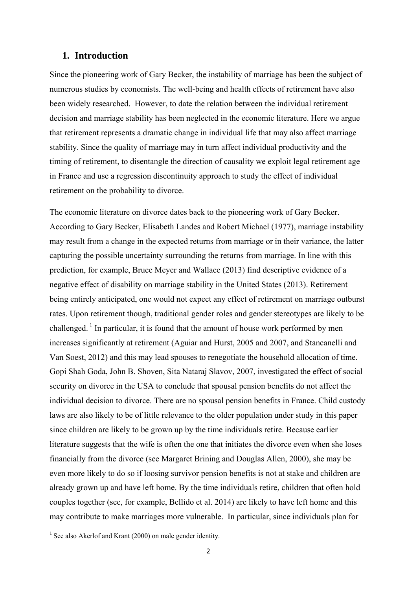#### **1. Introduction**

Since the pioneering work of Gary Becker, the instability of marriage has been the subject of numerous studies by economists. The well-being and health effects of retirement have also been widely researched. However, to date the relation between the individual retirement decision and marriage stability has been neglected in the economic literature. Here we argue that retirement represents a dramatic change in individual life that may also affect marriage stability. Since the quality of marriage may in turn affect individual productivity and the timing of retirement, to disentangle the direction of causality we exploit legal retirement age in France and use a regression discontinuity approach to study the effect of individual retirement on the probability to divorce.

The economic literature on divorce dates back to the pioneering work of Gary Becker. According to Gary Becker, Elisabeth Landes and Robert Michael (1977), marriage instability may result from a change in the expected returns from marriage or in their variance, the latter capturing the possible uncertainty surrounding the returns from marriage. In line with this prediction, for example, Bruce Meyer and Wallace (2013) find descriptive evidence of a negative effect of disability on marriage stability in the United States (2013). Retirement being entirely anticipated, one would not expect any effect of retirement on marriage outburst rates. Upon retirement though, traditional gender roles and gender stereotypes are likely to be challenged.  $\frac{1}{1}$  In particular, it is found that the amount of house work performed by men increases significantly at retirement (Aguiar and Hurst, 2005 and 2007, and Stancanelli and Van Soest, 2012) and this may lead spouses to renegotiate the household allocation of time. Gopi Shah Goda, John B. Shoven, Sita Nataraj Slavov, 2007, investigated the effect of social security on divorce in the USA to conclude that spousal pension benefits do not affect the individual decision to divorce. There are no spousal pension benefits in France. Child custody laws are also likely to be of little relevance to the older population under study in this paper since children are likely to be grown up by the time individuals retire. Because earlier literature suggests that the wife is often the one that initiates the divorce even when she loses financially from the divorce (see Margaret Brining and Douglas Allen, 2000), she may be even more likely to do so if loosing survivor pension benefits is not at stake and children are already grown up and have left home. By the time individuals retire, children that often hold couples together (see, for example, Bellido et al. 2014) are likely to have left home and this may contribute to make marriages more vulnerable. In particular, since individuals plan for

 $1$  See also Akerlof and Krant (2000) on male gender identity.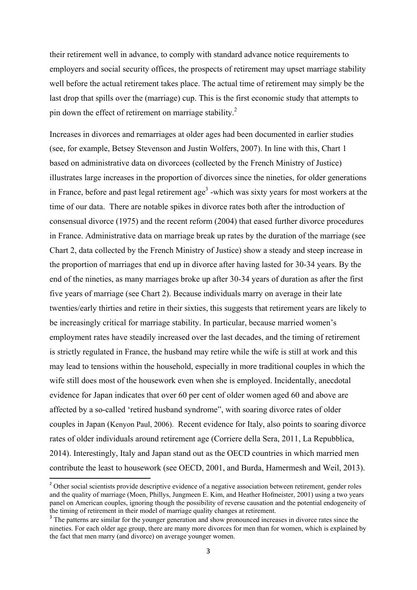their retirement well in advance, to comply with standard advance notice requirements to employers and social security offices, the prospects of retirement may upset marriage stability well before the actual retirement takes place. The actual time of retirement may simply be the last drop that spills over the (marriage) cup. This is the first economic study that attempts to pin down the effect of retirement on marriage stability.<sup>2</sup>

Increases in divorces and remarriages at older ages had been documented in earlier studies (see, for example, Betsey Stevenson and Justin Wolfers, 2007). In line with this, Chart 1 based on administrative data on divorcees (collected by the French Ministry of Justice) illustrates large increases in the proportion of divorces since the nineties, for older generations in France, before and past legal retirement  $age<sup>3</sup>$  -which was sixty years for most workers at the time of our data. There are notable spikes in divorce rates both after the introduction of consensual divorce (1975) and the recent reform (2004) that eased further divorce procedures in France. Administrative data on marriage break up rates by the duration of the marriage (see Chart 2, data collected by the French Ministry of Justice) show a steady and steep increase in the proportion of marriages that end up in divorce after having lasted for 30-34 years. By the end of the nineties, as many marriages broke up after 30-34 years of duration as after the first five years of marriage (see Chart 2). Because individuals marry on average in their late twenties/early thirties and retire in their sixties, this suggests that retirement years are likely to be increasingly critical for marriage stability. In particular, because married women's employment rates have steadily increased over the last decades, and the timing of retirement is strictly regulated in France, the husband may retire while the wife is still at work and this may lead to tensions within the household, especially in more traditional couples in which the wife still does most of the housework even when she is employed. Incidentally, anecdotal evidence for Japan indicates that over 60 per cent of older women aged 60 and above are affected by a so-called 'retired husband syndrome", with soaring divorce rates of older couples in Japan (Kenyon Paul, 2006). Recent evidence for Italy, also points to soaring divorce rates of older individuals around retirement age (Corriere della Sera, 2011, La Repubblica, 2014). Interestingly, Italy and Japan stand out as the OECD countries in which married men contribute the least to housework (see OECD, 2001, and Burda, Hamermesh and Weil, 2013).

<sup>&</sup>lt;sup>2</sup> Other social scientists provide descriptive evidence of a negative association between retirement, gender roles and the quality of marriage (Moen, Phillys, Jungmeen E. Kim, and Heather Hofmeister, 2001) using a two years panel on American couples, ignoring though the possibility of reverse causation and the potential endogeneity of the timing of retirement in their model of marriage quality changes at retirement.

<sup>&</sup>lt;sup>3</sup> The patterns are similar for the younger generation and show pronounced increases in divorce rates since the nineties. For each older age group, there are many more divorces for men than for women, which is explained by the fact that men marry (and divorce) on average younger women.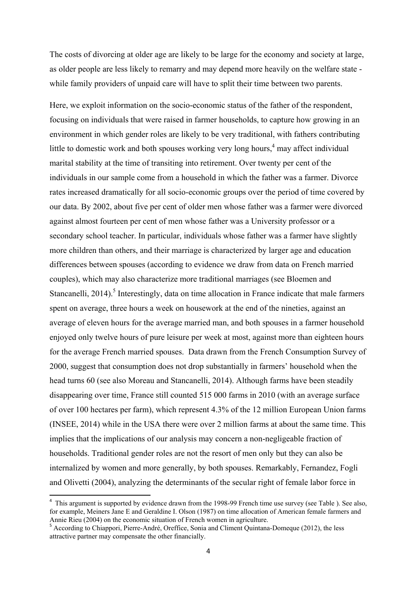The costs of divorcing at older age are likely to be large for the economy and society at large, as older people are less likely to remarry and may depend more heavily on the welfare state while family providers of unpaid care will have to split their time between two parents.

Here, we exploit information on the socio-economic status of the father of the respondent, focusing on individuals that were raised in farmer households, to capture how growing in an environment in which gender roles are likely to be very traditional, with fathers contributing little to domestic work and both spouses working very long hours,<sup>4</sup> may affect individual marital stability at the time of transiting into retirement. Over twenty per cent of the individuals in our sample come from a household in which the father was a farmer. Divorce rates increased dramatically for all socio-economic groups over the period of time covered by our data. By 2002, about five per cent of older men whose father was a farmer were divorced against almost fourteen per cent of men whose father was a University professor or a secondary school teacher. In particular, individuals whose father was a farmer have slightly more children than others, and their marriage is characterized by larger age and education differences between spouses (according to evidence we draw from data on French married couples), which may also characterize more traditional marriages (see Bloemen and Stancanelli, 2014).<sup>5</sup> Interestingly, data on time allocation in France indicate that male farmers spent on average, three hours a week on housework at the end of the nineties, against an average of eleven hours for the average married man, and both spouses in a farmer household enjoyed only twelve hours of pure leisure per week at most, against more than eighteen hours for the average French married spouses. Data drawn from the French Consumption Survey of 2000, suggest that consumption does not drop substantially in farmers' household when the head turns 60 (see also Moreau and Stancanelli, 2014). Although farms have been steadily disappearing over time, France still counted 515 000 farms in 2010 (with an average surface of over 100 hectares per farm), which represent 4.3% of the 12 million European Union farms (INSEE, 2014) while in the USA there were over 2 million farms at about the same time. This implies that the implications of our analysis may concern a non-negligeable fraction of households. Traditional gender roles are not the resort of men only but they can also be internalized by women and more generally, by both spouses. Remarkably, Fernandez, Fogli and Olivetti (2004), analyzing the determinants of the secular right of female labor force in

<sup>&</sup>lt;sup>4</sup> This argument is supported by evidence drawn from the 1998-99 French time use survey (see Table ). See also, for example, Meiners Jane E and Geraldine I. Olson (1987) on time allocation of American female farmers and Annie Rieu (2004) on the economic situation of French women in agriculture.

<sup>&</sup>lt;sup>5</sup> According to Chiappori, Pierre-André, Oreffice, Sonia and Climent Quintana-Domeque (2012), the less attractive partner may compensate the other financially.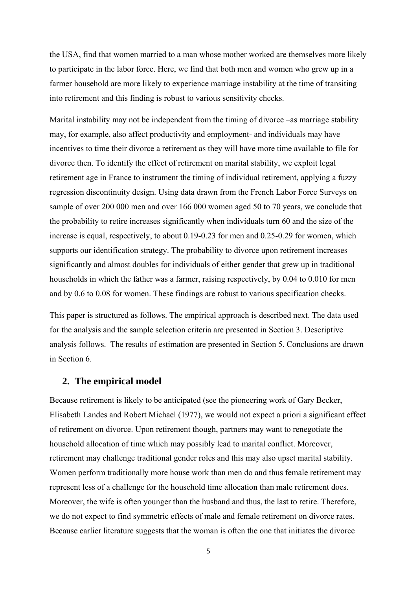the USA, find that women married to a man whose mother worked are themselves more likely to participate in the labor force. Here, we find that both men and women who grew up in a farmer household are more likely to experience marriage instability at the time of transiting into retirement and this finding is robust to various sensitivity checks.

Marital instability may not be independent from the timing of divorce –as marriage stability may, for example, also affect productivity and employment- and individuals may have incentives to time their divorce a retirement as they will have more time available to file for divorce then. To identify the effect of retirement on marital stability, we exploit legal retirement age in France to instrument the timing of individual retirement, applying a fuzzy regression discontinuity design. Using data drawn from the French Labor Force Surveys on sample of over 200 000 men and over 166 000 women aged 50 to 70 years, we conclude that the probability to retire increases significantly when individuals turn 60 and the size of the increase is equal, respectively, to about 0.19-0.23 for men and 0.25-0.29 for women, which supports our identification strategy. The probability to divorce upon retirement increases significantly and almost doubles for individuals of either gender that grew up in traditional households in which the father was a farmer, raising respectively, by 0.04 to 0.010 for men and by 0.6 to 0.08 for women. These findings are robust to various specification checks.

This paper is structured as follows. The empirical approach is described next. The data used for the analysis and the sample selection criteria are presented in Section 3. Descriptive analysis follows. The results of estimation are presented in Section 5. Conclusions are drawn in Section 6.

#### **2. The empirical model**

Because retirement is likely to be anticipated (see the pioneering work of Gary Becker, Elisabeth Landes and Robert Michael (1977), we would not expect a priori a significant effect of retirement on divorce. Upon retirement though, partners may want to renegotiate the household allocation of time which may possibly lead to marital conflict. Moreover, retirement may challenge traditional gender roles and this may also upset marital stability. Women perform traditionally more house work than men do and thus female retirement may represent less of a challenge for the household time allocation than male retirement does. Moreover, the wife is often younger than the husband and thus, the last to retire. Therefore, we do not expect to find symmetric effects of male and female retirement on divorce rates. Because earlier literature suggests that the woman is often the one that initiates the divorce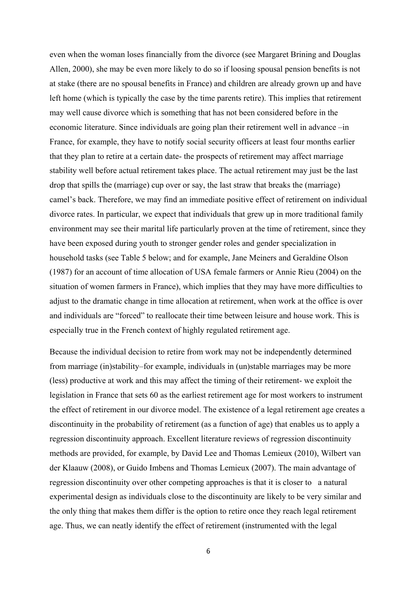even when the woman loses financially from the divorce (see Margaret Brining and Douglas Allen, 2000), she may be even more likely to do so if loosing spousal pension benefits is not at stake (there are no spousal benefits in France) and children are already grown up and have left home (which is typically the case by the time parents retire). This implies that retirement may well cause divorce which is something that has not been considered before in the economic literature. Since individuals are going plan their retirement well in advance –in France, for example, they have to notify social security officers at least four months earlier that they plan to retire at a certain date- the prospects of retirement may affect marriage stability well before actual retirement takes place. The actual retirement may just be the last drop that spills the (marriage) cup over or say, the last straw that breaks the (marriage) camel's back. Therefore, we may find an immediate positive effect of retirement on individual divorce rates. In particular, we expect that individuals that grew up in more traditional family environment may see their marital life particularly proven at the time of retirement, since they have been exposed during youth to stronger gender roles and gender specialization in household tasks (see Table 5 below; and for example, Jane Meiners and Geraldine Olson (1987) for an account of time allocation of USA female farmers or Annie Rieu (2004) on the situation of women farmers in France), which implies that they may have more difficulties to adjust to the dramatic change in time allocation at retirement, when work at the office is over and individuals are "forced" to reallocate their time between leisure and house work. This is especially true in the French context of highly regulated retirement age.

Because the individual decision to retire from work may not be independently determined from marriage (in)stability–for example, individuals in (un)stable marriages may be more (less) productive at work and this may affect the timing of their retirement- we exploit the legislation in France that sets 60 as the earliest retirement age for most workers to instrument the effect of retirement in our divorce model. The existence of a legal retirement age creates a discontinuity in the probability of retirement (as a function of age) that enables us to apply a regression discontinuity approach. Excellent literature reviews of regression discontinuity methods are provided, for example, by David Lee and Thomas Lemieux (2010), Wilbert van der Klaauw (2008), or Guido Imbens and Thomas Lemieux (2007). The main advantage of regression discontinuity over other competing approaches is that it is closer to a natural experimental design as individuals close to the discontinuity are likely to be very similar and the only thing that makes them differ is the option to retire once they reach legal retirement age. Thus, we can neatly identify the effect of retirement (instrumented with the legal

<sup>6</sup>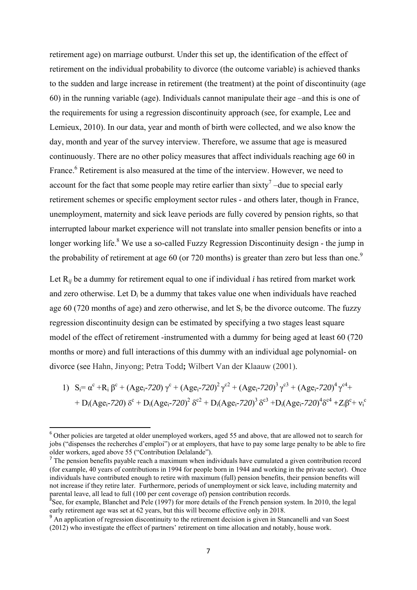retirement age) on marriage outburst. Under this set up, the identification of the effect of retirement on the individual probability to divorce (the outcome variable) is achieved thanks to the sudden and large increase in retirement (the treatment) at the point of discontinuity (age 60) in the running variable (age). Individuals cannot manipulate their age –and this is one of the requirements for using a regression discontinuity approach (see, for example, Lee and Lemieux, 2010). In our data, year and month of birth were collected, and we also know the day, month and year of the survey interview. Therefore, we assume that age is measured continuously. There are no other policy measures that affect individuals reaching age 60 in France.<sup>6</sup> Retirement is also measured at the time of the interview. However, we need to account for the fact that some people may retire earlier than  $sixty^7$  –due to special early retirement schemes or specific employment sector rules - and others later, though in France, unemployment, maternity and sick leave periods are fully covered by pension rights, so that interrupted labour market experience will not translate into smaller pension benefits or into a longer working life. $8$  We use a so-called Fuzzy Regression Discontinuity design - the jump in the probability of retirement at age 60 (or 720 months) is greater than zero but less than one.<sup>9</sup>

Let R*ij* be a dummy for retirement equal to one if individual *i* has retired from market work and zero otherwise. Let D*i* be a dummy that takes value one when individuals have reached age 60 (720 months of age) and zero otherwise, and let S*i* be the divorce outcome. The fuzzy regression discontinuity design can be estimated by specifying a two stages least square model of the effect of retirement -instrumented with a dummy for being aged at least 60 (720 months or more) and full interactions of this dummy with an individual age polynomial- on divorce (see Hahn, Jinyong; Petra Todd**;** Wilbert Van der Klaauw (2001).

1) 
$$
S_i = \alpha^c + R_i \beta^c + (Age_i - 720) \gamma^c + (Age_i - 720)^2 \gamma^{c2} + (Age_i - 720)^3 \gamma^{c3} + (Age_i - 720)^4 \gamma^{c4} + D_i(Age_i - 720) \delta^c + D_i(Age_i - 720)^2 \delta^{c2} + D_i(Age_i - 720)^3 \delta^{c3} + D_i(Age_i - 720)^4 \delta^{c4} + Z_i \beta^c + \gamma_i^c
$$

<sup>&</sup>lt;sup>6</sup> Other policies are targeted at older unemployed workers, aged 55 and above, that are allowed not to search for jobs ("dispenses the recherches d'emploi") or at employers, that have to pay some large penalty to be able to fire older workers, aged above 55 ("Contribution Delalande").

<sup>&</sup>lt;sup>7</sup> The pension benefits payable reach a maximum when individuals have cumulated a given contribution record (for example, 40 years of contributions in 1994 for people born in 1944 and working in the private sector). Once individuals have contributed enough to retire with maximum (full) pension benefits, their pension benefits will not increase if they retire later. Furthermore, periods of unemployment or sick leave, including maternity and parental leave, all lead to full (100 per cent coverage of) pension contribution records.

 $8$ See, for example, Blanchet and Pele (1997) for more details of the French pension system. In 2010, the legal early retirement age was set at 62 years, but this will become effective only in 2018.

<sup>&</sup>lt;sup>9</sup> An application of regression discontinuity to the retirement decision is given in Stancanelli and van Soest (2012) who investigate the effect of partners' retirement on time allocation and notably, house work.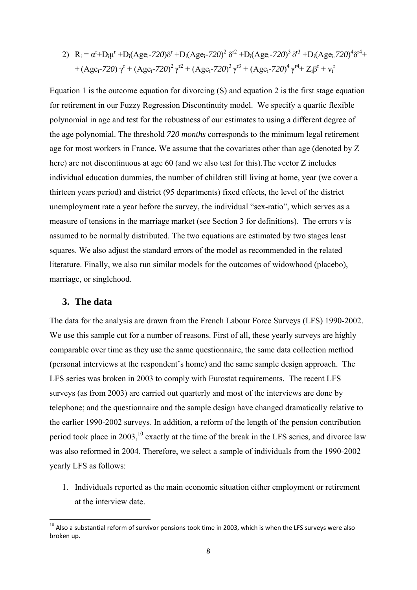2) 
$$
R_i = \alpha^r + D_i \mu^r + D_i (Age_i - 720) \delta^r + D_i (Age_i - 720)^2 \delta^{r2} + D_i (Age_i - 720)^3 \delta^{r3} + D_i (Age_i - 720)^4 \delta^{r4} + (Age_i - 720) \gamma^r + (Age_i - 720)^2 \gamma^{r2} + (Age_i - 720)^3 \gamma^{r3} + (Age_i - 720)^4 \gamma^{r4} + Z_i \beta^r + \nu_i^r
$$

Equation 1 is the outcome equation for divorcing (S) and equation 2 is the first stage equation for retirement in our Fuzzy Regression Discontinuity model. We specify a quartic flexible polynomial in age and test for the robustness of our estimates to using a different degree of the age polynomial. The threshold *720 months* corresponds to the minimum legal retirement age for most workers in France. We assume that the covariates other than age (denoted by Z here) are not discontinuous at age 60 (and we also test for this). The vector Z includes individual education dummies, the number of children still living at home, year (we cover a thirteen years period) and district (95 departments) fixed effects, the level of the district unemployment rate a year before the survey, the individual "sex-ratio", which serves as a measure of tensions in the marriage market (see Section 3 for definitions). The errors ν is assumed to be normally distributed. The two equations are estimated by two stages least squares. We also adjust the standard errors of the model as recommended in the related literature. Finally, we also run similar models for the outcomes of widowhood (placebo), marriage, or singlehood.

#### **3. The data**

The data for the analysis are drawn from the French Labour Force Surveys (LFS) 1990-2002. We use this sample cut for a number of reasons. First of all, these yearly surveys are highly comparable over time as they use the same questionnaire, the same data collection method (personal interviews at the respondent's home) and the same sample design approach. The LFS series was broken in 2003 to comply with Eurostat requirements. The recent LFS surveys (as from 2003) are carried out quarterly and most of the interviews are done by telephone; and the questionnaire and the sample design have changed dramatically relative to the earlier 1990-2002 surveys. In addition, a reform of the length of the pension contribution period took place in 2003,  $^{10}$  exactly at the time of the break in the LFS series, and divorce law was also reformed in 2004. Therefore, we select a sample of individuals from the 1990-2002 yearly LFS as follows:

1. Individuals reported as the main economic situation either employment or retirement at the interview date.

 $^{10}$  Also a substantial reform of survivor pensions took time in 2003, which is when the LFS surveys were also broken up.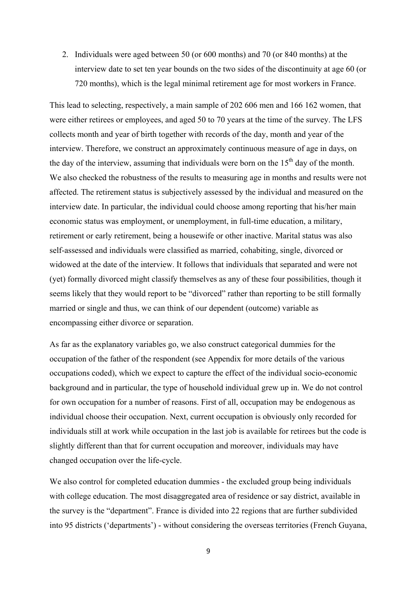2. Individuals were aged between 50 (or 600 months) and 70 (or 840 months) at the interview date to set ten year bounds on the two sides of the discontinuity at age 60 (or 720 months), which is the legal minimal retirement age for most workers in France.

This lead to selecting, respectively, a main sample of 202 606 men and 166 162 women, that were either retirees or employees, and aged 50 to 70 years at the time of the survey. The LFS collects month and year of birth together with records of the day, month and year of the interview. Therefore, we construct an approximately continuous measure of age in days, on the day of the interview, assuming that individuals were born on the  $15<sup>th</sup>$  day of the month. We also checked the robustness of the results to measuring age in months and results were not affected. The retirement status is subjectively assessed by the individual and measured on the interview date. In particular, the individual could choose among reporting that his/her main economic status was employment, or unemployment, in full-time education, a military, retirement or early retirement, being a housewife or other inactive. Marital status was also self-assessed and individuals were classified as married, cohabiting, single, divorced or widowed at the date of the interview. It follows that individuals that separated and were not (yet) formally divorced might classify themselves as any of these four possibilities, though it seems likely that they would report to be "divorced" rather than reporting to be still formally married or single and thus, we can think of our dependent (outcome) variable as encompassing either divorce or separation.

As far as the explanatory variables go, we also construct categorical dummies for the occupation of the father of the respondent (see Appendix for more details of the various occupations coded), which we expect to capture the effect of the individual socio-economic background and in particular, the type of household individual grew up in. We do not control for own occupation for a number of reasons. First of all, occupation may be endogenous as individual choose their occupation. Next, current occupation is obviously only recorded for individuals still at work while occupation in the last job is available for retirees but the code is slightly different than that for current occupation and moreover, individuals may have changed occupation over the life-cycle.

We also control for completed education dummies - the excluded group being individuals with college education. The most disaggregated area of residence or say district, available in the survey is the "department". France is divided into 22 regions that are further subdivided into 95 districts ('departments') - without considering the overseas territories (French Guyana,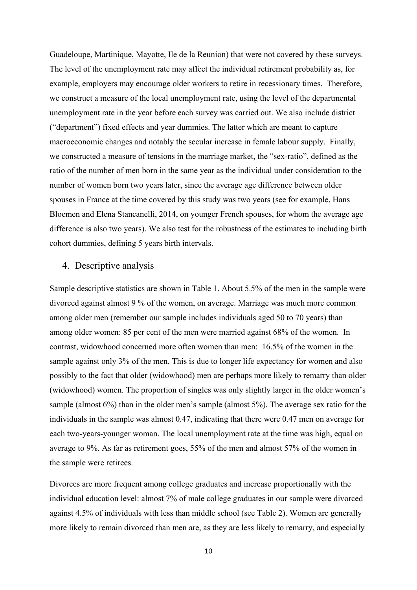Guadeloupe, Martinique, Mayotte, Ile de la Reunion) that were not covered by these surveys. The level of the unemployment rate may affect the individual retirement probability as, for example, employers may encourage older workers to retire in recessionary times. Therefore, we construct a measure of the local unemployment rate, using the level of the departmental unemployment rate in the year before each survey was carried out. We also include district ("department") fixed effects and year dummies. The latter which are meant to capture macroeconomic changes and notably the secular increase in female labour supply. Finally, we constructed a measure of tensions in the marriage market, the "sex-ratio", defined as the ratio of the number of men born in the same year as the individual under consideration to the number of women born two years later, since the average age difference between older spouses in France at the time covered by this study was two years (see for example, Hans Bloemen and Elena Stancanelli, 2014, on younger French spouses, for whom the average age difference is also two years). We also test for the robustness of the estimates to including birth cohort dummies, defining 5 years birth intervals.

#### 4. Descriptive analysis

Sample descriptive statistics are shown in Table 1. About 5.5% of the men in the sample were divorced against almost 9 % of the women, on average. Marriage was much more common among older men (remember our sample includes individuals aged 50 to 70 years) than among older women: 85 per cent of the men were married against 68% of the women. In contrast, widowhood concerned more often women than men: 16.5% of the women in the sample against only 3% of the men. This is due to longer life expectancy for women and also possibly to the fact that older (widowhood) men are perhaps more likely to remarry than older (widowhood) women. The proportion of singles was only slightly larger in the older women's sample (almost 6%) than in the older men's sample (almost 5%). The average sex ratio for the individuals in the sample was almost 0.47, indicating that there were 0.47 men on average for each two-years-younger woman. The local unemployment rate at the time was high, equal on average to 9%. As far as retirement goes, 55% of the men and almost 57% of the women in the sample were retirees.

Divorces are more frequent among college graduates and increase proportionally with the individual education level: almost 7% of male college graduates in our sample were divorced against 4.5% of individuals with less than middle school (see Table 2). Women are generally more likely to remain divorced than men are, as they are less likely to remarry, and especially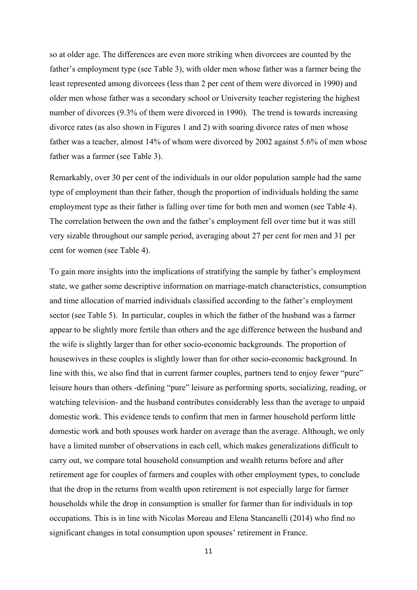so at older age. The differences are even more striking when divorcees are counted by the father's employment type (see Table 3), with older men whose father was a farmer being the least represented among divorcees (less than 2 per cent of them were divorced in 1990) and older men whose father was a secondary school or University teacher registering the highest number of divorces (9.3% of them were divorced in 1990). The trend is towards increasing divorce rates (as also shown in Figures 1 and 2) with soaring divorce rates of men whose father was a teacher, almost 14% of whom were divorced by 2002 against 5.6% of men whose father was a farmer (see Table 3).

Remarkably, over 30 per cent of the individuals in our older population sample had the same type of employment than their father, though the proportion of individuals holding the same employment type as their father is falling over time for both men and women (see Table 4). The correlation between the own and the father's employment fell over time but it was still very sizable throughout our sample period, averaging about 27 per cent for men and 31 per cent for women (see Table 4).

To gain more insights into the implications of stratifying the sample by father's employment state, we gather some descriptive information on marriage-match characteristics, consumption and time allocation of married individuals classified according to the father's employment sector (see Table 5). In particular, couples in which the father of the husband was a farmer appear to be slightly more fertile than others and the age difference between the husband and the wife is slightly larger than for other socio-economic backgrounds. The proportion of housewives in these couples is slightly lower than for other socio-economic background. In line with this, we also find that in current farmer couples, partners tend to enjoy fewer "pure" leisure hours than others -defining "pure" leisure as performing sports, socializing, reading, or watching television- and the husband contributes considerably less than the average to unpaid domestic work. This evidence tends to confirm that men in farmer household perform little domestic work and both spouses work harder on average than the average. Although, we only have a limited number of observations in each cell, which makes generalizations difficult to carry out, we compare total household consumption and wealth returns before and after retirement age for couples of farmers and couples with other employment types, to conclude that the drop in the returns from wealth upon retirement is not especially large for farmer households while the drop in consumption is smaller for farmer than for individuals in top occupations. This is in line with Nicolas Moreau and Elena Stancanelli (2014) who find no significant changes in total consumption upon spouses' retirement in France.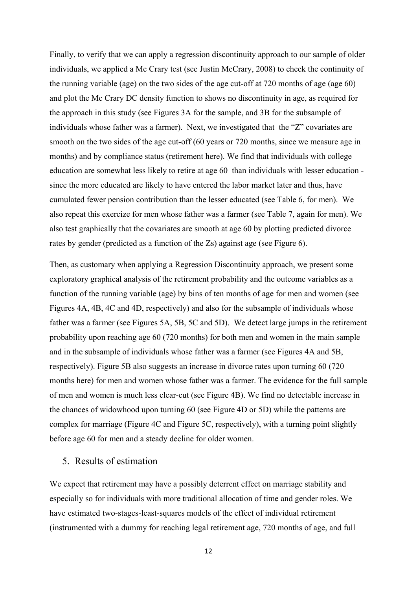Finally, to verify that we can apply a regression discontinuity approach to our sample of older individuals, we applied a Mc Crary test (see Justin McCrary, 2008) to check the continuity of the running variable (age) on the two sides of the age cut-off at 720 months of age (age 60) and plot the Mc Crary DC density function to shows no discontinuity in age, as required for the approach in this study (see Figures 3A for the sample, and 3B for the subsample of individuals whose father was a farmer). Next, we investigated that the "Z" covariates are smooth on the two sides of the age cut-off (60 years or 720 months, since we measure age in months) and by compliance status (retirement here). We find that individuals with college education are somewhat less likely to retire at age 60 than individuals with lesser education since the more educated are likely to have entered the labor market later and thus, have cumulated fewer pension contribution than the lesser educated (see Table 6, for men). We also repeat this exercize for men whose father was a farmer (see Table 7, again for men). We also test graphically that the covariates are smooth at age 60 by plotting predicted divorce rates by gender (predicted as a function of the Zs) against age (see Figure 6).

Then, as customary when applying a Regression Discontinuity approach, we present some exploratory graphical analysis of the retirement probability and the outcome variables as a function of the running variable (age) by bins of ten months of age for men and women (see Figures 4A, 4B, 4C and 4D, respectively) and also for the subsample of individuals whose father was a farmer (see Figures 5A, 5B, 5C and 5D). We detect large jumps in the retirement probability upon reaching age 60 (720 months) for both men and women in the main sample and in the subsample of individuals whose father was a farmer (see Figures 4A and 5B, respectively). Figure 5B also suggests an increase in divorce rates upon turning 60 (720 months here) for men and women whose father was a farmer. The evidence for the full sample of men and women is much less clear-cut (see Figure 4B). We find no detectable increase in the chances of widowhood upon turning 60 (see Figure 4D or 5D) while the patterns are complex for marriage (Figure 4C and Figure 5C, respectively), with a turning point slightly before age 60 for men and a steady decline for older women.

#### 5. Results of estimation

We expect that retirement may have a possibly deterrent effect on marriage stability and especially so for individuals with more traditional allocation of time and gender roles. We have estimated two-stages-least-squares models of the effect of individual retirement (instrumented with a dummy for reaching legal retirement age, 720 months of age, and full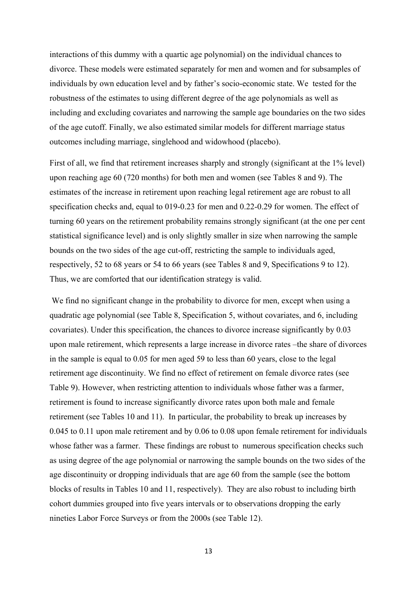interactions of this dummy with a quartic age polynomial) on the individual chances to divorce. These models were estimated separately for men and women and for subsamples of individuals by own education level and by father's socio-economic state. We tested for the robustness of the estimates to using different degree of the age polynomials as well as including and excluding covariates and narrowing the sample age boundaries on the two sides of the age cutoff. Finally, we also estimated similar models for different marriage status outcomes including marriage, singlehood and widowhood (placebo).

First of all, we find that retirement increases sharply and strongly (significant at the 1% level) upon reaching age 60 (720 months) for both men and women (see Tables 8 and 9). The estimates of the increase in retirement upon reaching legal retirement age are robust to all specification checks and, equal to 019-0.23 for men and 0.22-0.29 for women. The effect of turning 60 years on the retirement probability remains strongly significant (at the one per cent statistical significance level) and is only slightly smaller in size when narrowing the sample bounds on the two sides of the age cut-off, restricting the sample to individuals aged, respectively, 52 to 68 years or 54 to 66 years (see Tables 8 and 9, Specifications 9 to 12). Thus, we are comforted that our identification strategy is valid.

 We find no significant change in the probability to divorce for men, except when using a quadratic age polynomial (see Table 8, Specification 5, without covariates, and 6, including covariates). Under this specification, the chances to divorce increase significantly by 0.03 upon male retirement, which represents a large increase in divorce rates –the share of divorces in the sample is equal to 0.05 for men aged 59 to less than 60 years, close to the legal retirement age discontinuity. We find no effect of retirement on female divorce rates (see Table 9). However, when restricting attention to individuals whose father was a farmer, retirement is found to increase significantly divorce rates upon both male and female retirement (see Tables 10 and 11). In particular, the probability to break up increases by 0.045 to 0.11 upon male retirement and by 0.06 to 0.08 upon female retirement for individuals whose father was a farmer. These findings are robust to numerous specification checks such as using degree of the age polynomial or narrowing the sample bounds on the two sides of the age discontinuity or dropping individuals that are age 60 from the sample (see the bottom blocks of results in Tables 10 and 11, respectively). They are also robust to including birth cohort dummies grouped into five years intervals or to observations dropping the early nineties Labor Force Surveys or from the 2000s (see Table 12).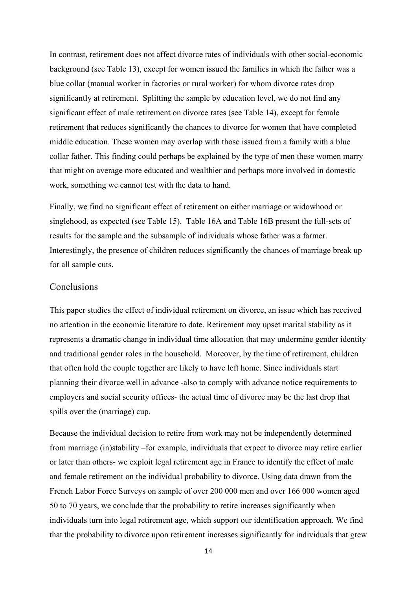In contrast, retirement does not affect divorce rates of individuals with other social-economic background (see Table 13), except for women issued the families in which the father was a blue collar (manual worker in factories or rural worker) for whom divorce rates drop significantly at retirement. Splitting the sample by education level, we do not find any significant effect of male retirement on divorce rates (see Table 14), except for female retirement that reduces significantly the chances to divorce for women that have completed middle education. These women may overlap with those issued from a family with a blue collar father. This finding could perhaps be explained by the type of men these women marry that might on average more educated and wealthier and perhaps more involved in domestic work, something we cannot test with the data to hand.

Finally, we find no significant effect of retirement on either marriage or widowhood or singlehood, as expected (see Table 15). Table 16A and Table 16B present the full-sets of results for the sample and the subsample of individuals whose father was a farmer. Interestingly, the presence of children reduces significantly the chances of marriage break up for all sample cuts.

#### **Conclusions**

This paper studies the effect of individual retirement on divorce, an issue which has received no attention in the economic literature to date. Retirement may upset marital stability as it represents a dramatic change in individual time allocation that may undermine gender identity and traditional gender roles in the household. Moreover, by the time of retirement, children that often hold the couple together are likely to have left home. Since individuals start planning their divorce well in advance -also to comply with advance notice requirements to employers and social security offices- the actual time of divorce may be the last drop that spills over the (marriage) cup.

Because the individual decision to retire from work may not be independently determined from marriage (in)stability –for example, individuals that expect to divorce may retire earlier or later than others- we exploit legal retirement age in France to identify the effect of male and female retirement on the individual probability to divorce. Using data drawn from the French Labor Force Surveys on sample of over 200 000 men and over 166 000 women aged 50 to 70 years, we conclude that the probability to retire increases significantly when individuals turn into legal retirement age, which support our identification approach. We find that the probability to divorce upon retirement increases significantly for individuals that grew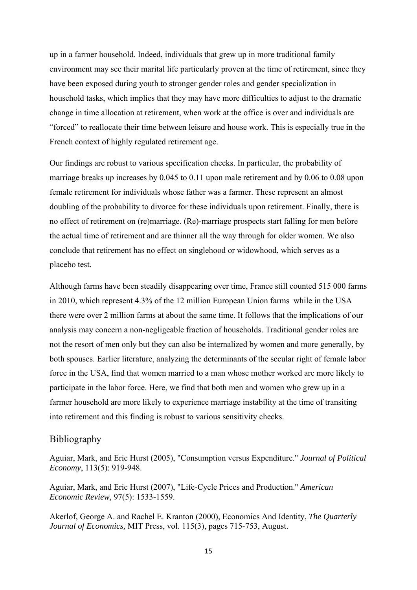up in a farmer household. Indeed, individuals that grew up in more traditional family environment may see their marital life particularly proven at the time of retirement, since they have been exposed during youth to stronger gender roles and gender specialization in household tasks, which implies that they may have more difficulties to adjust to the dramatic change in time allocation at retirement, when work at the office is over and individuals are "forced" to reallocate their time between leisure and house work. This is especially true in the French context of highly regulated retirement age.

Our findings are robust to various specification checks. In particular, the probability of marriage breaks up increases by 0.045 to 0.11 upon male retirement and by 0.06 to 0.08 upon female retirement for individuals whose father was a farmer. These represent an almost doubling of the probability to divorce for these individuals upon retirement. Finally, there is no effect of retirement on (re)marriage. (Re)-marriage prospects start falling for men before the actual time of retirement and are thinner all the way through for older women. We also conclude that retirement has no effect on singlehood or widowhood, which serves as a placebo test.

Although farms have been steadily disappearing over time, France still counted 515 000 farms in 2010, which represent 4.3% of the 12 million European Union farms while in the USA there were over 2 million farms at about the same time. It follows that the implications of our analysis may concern a non-negligeable fraction of households. Traditional gender roles are not the resort of men only but they can also be internalized by women and more generally, by both spouses. Earlier literature, analyzing the determinants of the secular right of female labor force in the USA, find that women married to a man whose mother worked are more likely to participate in the labor force. Here, we find that both men and women who grew up in a farmer household are more likely to experience marriage instability at the time of transiting into retirement and this finding is robust to various sensitivity checks.

#### Bibliography

Aguiar, Mark, and Eric Hurst (2005), "Consumption versus Expenditure." *Journal of Political Economy*, 113(5): 919-948.

Aguiar, Mark, and Eric Hurst (2007), "Life-Cycle Prices and Production." *American Economic Review,* 97(5): 1533-1559.

Akerlof, George A. and Rachel E. Kranton (2000), Economics And Identity, *The Quarterly Journal of Economics,* MIT Press, vol. 115(3), pages 715-753, August.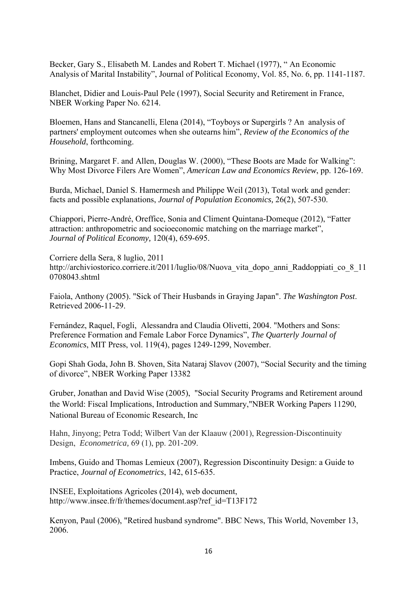Becker, Gary S., Elisabeth M. Landes and Robert T. Michael (1977), " An Economic Analysis of Marital Instability", Journal of Political Economy, Vol. 85, No. 6, pp. 1141-1187.

Blanchet, Didier and Louis-Paul Pele (1997), Social Security and Retirement in France, NBER Working Paper No. 6214.

Bloemen, Hans and Stancanelli, Elena (2014), "Toyboys or Supergirls ? An analysis of partners' employment outcomes when she outearns him", *Review of the Economics of the Household*, forthcoming.

Brining, Margaret F. and Allen, Douglas W. (2000), "These Boots are Made for Walking": Why Most Divorce Filers Are Women", *American Law and Economics Review*, pp. 126-169.

Burda, Michael, Daniel S. Hamermesh and Philippe Weil (2013), Total work and gender: facts and possible explanations, *Journal of Population Economics,* 26(2), 507-530.

Chiappori, Pierre-André, Oreffice, Sonia and Climent Quintana-Domeque (2012), "Fatter attraction: anthropometric and socioeconomic matching on the marriage market", *Journal of Political Economy,* 120(4), 659-695.

Corriere della Sera, 8 luglio, 2011 http://archiviostorico.corriere.it/2011/luglio/08/Nuova vita dopo\_anni\_Raddoppiati\_co\_8\_11 0708043.shtml

Faiola, Anthony (2005). "Sick of Their Husbands in Graying Japan". *The Washington Post*. Retrieved 2006-11-29.

Fernández, Raquel, Fogli, Alessandra and Claudia Olivetti, 2004. "Mothers and Sons: Preference Formation and Female Labor Force Dynamics", *The Quarterly Journal of Economics*, MIT Press, vol. 119(4), pages 1249-1299, November.

Gopi Shah Goda, John B. Shoven, Sita Nataraj Slavov (2007), "Social Security and the timing of divorce", NBER Working Paper 13382

Gruber, Jonathan and David Wise (2005), "Social Security Programs and Retirement around the World: Fiscal Implications, Introduction and Summary,"NBER Working Papers 11290, National Bureau of Economic Research, Inc

Hahn, Jinyong; Petra Todd; Wilbert Van der Klaauw (2001), Regression-Discontinuity Design, *Econometrica,* 69 (1), pp. 201-209.

Imbens, Guido and Thomas Lemieux (2007), Regression Discontinuity Design: a Guide to Practice, *Journal of Econometrics*, 142, 615-635.

INSEE, Exploitations Agricoles (2014), web document, http://www.insee.fr/fr/themes/document.asp?ref\_id=T13F172

Kenyon, Paul (2006), "Retired husband syndrome". BBC News, This World, November 13, 2006.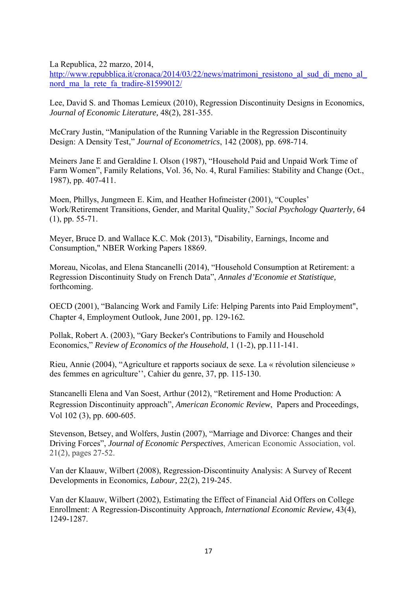La Republica, 22 marzo, 2014,

http://www.repubblica.it/cronaca/2014/03/22/news/matrimoni resistono al sud di meno al nord ma la rete fa tradire-81599012/

Lee, David S. and Thomas Lemieux (2010), Regression Discontinuity Designs in Economics, *Journal of Economic Literature,* 48(2), 281-355.

McCrary Justin, "Manipulation of the Running Variable in the Regression Discontinuity Design: A Density Test," *Journal of Econometrics*, 142 (2008), pp. 698-714.

Meiners Jane E and Geraldine I. Olson (1987), "Household Paid and Unpaid Work Time of Farm Women", Family Relations, Vol. 36, No. 4, Rural Families: Stability and Change (Oct., 1987), pp. 407-411.

Moen, Phillys, Jungmeen E. Kim, and Heather Hofmeister (2001), "Couples' Work/Retirement Transitions, Gender, and Marital Quality," *Social Psychology Quarterly,* 64 (1), pp. 55-71.

Meyer, Bruce D. and Wallace K.C. Mok (2013), "Disability, Earnings, Income and Consumption," NBER Working Papers 18869.

Moreau, Nicolas, and Elena Stancanelli (2014), "Household Consumption at Retirement: a Regression Discontinuity Study on French Data", *Annales d'Economie et Statistique,* forthcoming.

OECD (2001), "Balancing Work and Family Life: Helping Parents into Paid Employment", Chapter 4, Employment Outlook*,* June 2001, pp. 129-162*.* 

Pollak, Robert A. (2003), "Gary Becker's Contributions to Family and Household Economics," *Review of Economics of the Household*, 1 (1-2), pp.111-141.

Rieu, Annie (2004), "Agriculture et rapports sociaux de sexe. La « révolution silencieuse » des femmes en agriculture'', Cahier du genre, 37, pp. 115-130.

Stancanelli Elena and Van Soest, Arthur (2012), "Retirement and Home Production: A Regression Discontinuity approach", *American Economic Review*, Papers and Proceedings, Vol 102 (3), pp. 600-605.

Stevenson, Betsey, and Wolfers, Justin (2007), "Marriage and Divorce: Changes and their Driving Forces", *Journal of Economic Perspectives*, American Economic Association, vol. 21(2), pages 27-52.

Van der Klaauw, Wilbert (2008), Regression-Discontinuity Analysis: A Survey of Recent Developments in Economics*, Labour,* 22(2), 219-245.

Van der Klaauw, Wilbert (2002), Estimating the Effect of Financial Aid Offers on College Enrollment: A Regression-Discontinuity Approach*, International Economic Review,* 43(4), 1249-1287.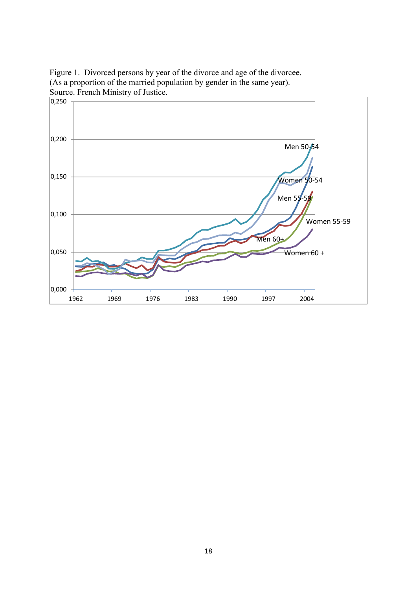

Figure 1. Divorced persons by year of the divorce and age of the divorcee. (As a proportion of the married population by gender in the same year). Source. French Ministry of Justice.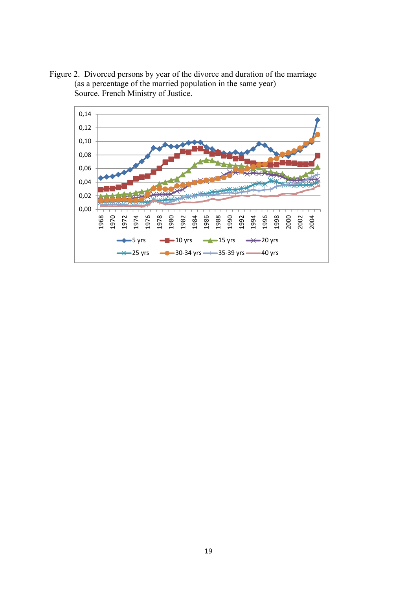Figure 2. Divorced persons by year of the divorce and duration of the marriage (as a percentage of the married population in the same year) Source. French Ministry of Justice.

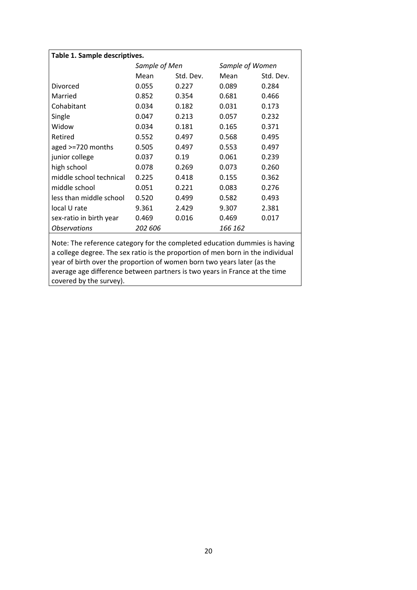| Table 1. Sample descriptives. |               |           |                 |           |  |  |  |  |  |
|-------------------------------|---------------|-----------|-----------------|-----------|--|--|--|--|--|
|                               | Sample of Men |           | Sample of Women |           |  |  |  |  |  |
|                               | Mean          | Std. Dev. | Mean            | Std. Dev. |  |  |  |  |  |
| <b>Divorced</b>               | 0.055         | 0.227     | 0.089           | 0.284     |  |  |  |  |  |
| Married                       | 0.852         | 0.354     | 0.681           | 0.466     |  |  |  |  |  |
| Cohabitant                    | 0.034         | 0.182     | 0.031           | 0.173     |  |  |  |  |  |
| Single                        | 0.047         | 0.213     | 0.057           | 0.232     |  |  |  |  |  |
| Widow                         | 0.034         | 0.181     | 0.165           | 0.371     |  |  |  |  |  |
| Retired                       | 0.552         | 0.497     | 0.568           | 0.495     |  |  |  |  |  |
| aged >=720 months             | 0.505         | 0.497     | 0.553           | 0.497     |  |  |  |  |  |
| junior college                | 0.037         | 0.19      | 0.061           | 0.239     |  |  |  |  |  |
| high school                   | 0.078         | 0.269     | 0.073           | 0.260     |  |  |  |  |  |
| middle school technical       | 0.225         | 0.418     | 0.155           | 0.362     |  |  |  |  |  |
| middle school                 | 0.051         | 0.221     | 0.083           | 0.276     |  |  |  |  |  |
| less than middle school       | 0.520         | 0.499     | 0.582           | 0.493     |  |  |  |  |  |
| local U rate                  | 9.361         | 2.429     | 9.307           | 2.381     |  |  |  |  |  |
| sex-ratio in birth year       | 0.469         | 0.016     | 0.469           | 0.017     |  |  |  |  |  |
| <i><b>Observations</b></i>    | 202 606       |           | 166 162         |           |  |  |  |  |  |

Note: The reference category for the completed education dummies is having a college degree. The sex ratio is the proportion of men born in the individual year of birth over the proportion of women born two years later (as the average age difference between partners is two years in France at the time covered by the survey).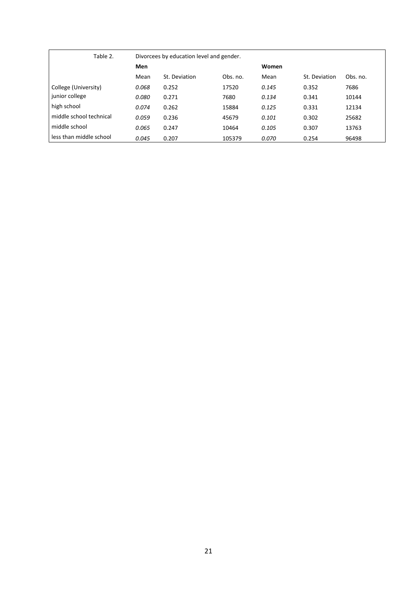| Table 2.                |       | Divorcees by education level and gender. |          |       |               |          |
|-------------------------|-------|------------------------------------------|----------|-------|---------------|----------|
|                         | Men   |                                          |          | Women |               |          |
|                         | Mean  | St. Deviation                            | Obs. no. | Mean  | St. Deviation | Obs. no. |
| College (University)    | 0.068 | 0.252                                    | 17520    | 0.145 | 0.352         | 7686     |
| junior college          | 0.080 | 0.271                                    | 7680     | 0.134 | 0.341         | 10144    |
| high school             | 0.074 | 0.262                                    | 15884    | 0.125 | 0.331         | 12134    |
| middle school technical | 0.059 | 0.236                                    | 45679    | 0.101 | 0.302         | 25682    |
| middle school           | 0.065 | 0.247                                    | 10464    | 0.105 | 0.307         | 13763    |
| less than middle school | 0.045 | 0.207                                    | 105379   | 0.070 | 0.254         | 96498    |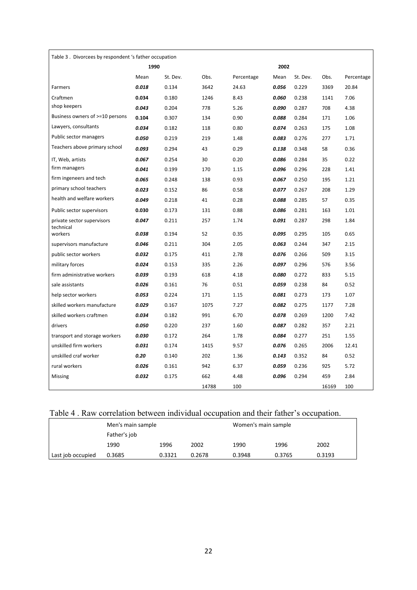| Table 3. Divorcees by respondent 's father occupation |       |          |       |            |       |          |       |            |  |  |
|-------------------------------------------------------|-------|----------|-------|------------|-------|----------|-------|------------|--|--|
|                                                       | 1990  |          |       |            |       |          |       |            |  |  |
|                                                       | Mean  | St. Dev. | Obs.  | Percentage | Mean  | St. Dev. | Obs.  | Percentage |  |  |
| Farmers                                               | 0.018 | 0.134    | 3642  | 24.63      | 0.056 | 0.229    | 3369  | 20.84      |  |  |
| Craftmen                                              | 0.034 | 0.180    | 1246  | 8.43       | 0.060 | 0.238    | 1141  | 7.06       |  |  |
| shop keepers                                          | 0.043 | 0.204    | 778   | 5.26       | 0.090 | 0.287    | 708   | 4.38       |  |  |
| Business owners of $>=$ 10 persons                    | 0.104 | 0.307    | 134   | 0.90       | 0.088 | 0.284    | 171   | 1.06       |  |  |
| Lawyers, consultants                                  | 0.034 | 0.182    | 118   | 0.80       | 0.074 | 0.263    | 175   | 1.08       |  |  |
| Public sector managers                                | 0.050 | 0.219    | 219   | 1.48       | 0.083 | 0.276    | 277   | 1.71       |  |  |
| Teachers above primary school                         | 0.093 | 0.294    | 43    | 0.29       | 0.138 | 0.348    | 58    | 0.36       |  |  |
| IT, Web, artists                                      | 0.067 | 0.254    | 30    | 0.20       | 0.086 | 0.284    | 35    | 0.22       |  |  |
| firm managers                                         | 0.041 | 0.199    | 170   | 1.15       | 0.096 | 0.296    | 228   | 1.41       |  |  |
| firm ingeneers and tech                               | 0.065 | 0.248    | 138   | 0.93       | 0.067 | 0.250    | 195   | 1.21       |  |  |
| primary school teachers                               | 0.023 | 0.152    | 86    | 0.58       | 0.077 | 0.267    | 208   | 1.29       |  |  |
| health and welfare workers                            | 0.049 | 0.218    | 41    | 0.28       | 0.088 | 0.285    | 57    | 0.35       |  |  |
| Public sector supervisors                             | 0.030 | 0.173    | 131   | 0.88       | 0.086 | 0.281    | 163   | 1.01       |  |  |
| private sector supervisors                            | 0.047 | 0.211    | 257   | 1.74       | 0.091 | 0.287    | 298   | 1.84       |  |  |
| technical<br>workers                                  | 0.038 | 0.194    | 52    | 0.35       | 0.095 | 0.295    | 105   | 0.65       |  |  |
| supervisors manufacture                               | 0.046 | 0.211    | 304   | 2.05       | 0.063 | 0.244    | 347   | 2.15       |  |  |
| public sector workers                                 | 0.032 | 0.175    | 411   | 2.78       | 0.076 | 0.266    | 509   | 3.15       |  |  |
| military forces                                       | 0.024 | 0.153    | 335   | 2.26       | 0.097 | 0.296    | 576   | 3.56       |  |  |
| firm administrative workers                           | 0.039 | 0.193    | 618   | 4.18       | 0.080 | 0.272    | 833   | 5.15       |  |  |
| sale assistants                                       | 0.026 | 0.161    | 76    | 0.51       | 0.059 | 0.238    | 84    | 0.52       |  |  |
| help sector workers                                   | 0.053 | 0.224    | 171   | 1.15       | 0.081 | 0.273    | 173   | 1.07       |  |  |
| skilled workers manufacture                           | 0.029 | 0.167    | 1075  | 7.27       | 0.082 | 0.275    | 1177  | 7.28       |  |  |
| skilled workers craftmen                              | 0.034 | 0.182    | 991   | 6.70       | 0.078 | 0.269    | 1200  | 7.42       |  |  |
| drivers                                               | 0.050 | 0.220    | 237   | 1.60       | 0.087 | 0.282    | 357   | 2.21       |  |  |
| transport and storage workers                         | 0.030 | 0.172    | 264   | 1.78       | 0.084 | 0.277    | 251   | 1.55       |  |  |
| unskilled firm workers                                | 0.031 | 0.174    | 1415  | 9.57       | 0.076 | 0.265    | 2006  | 12.41      |  |  |
| unskilled craf worker                                 | 0.20  | 0.140    | 202   | 1.36       | 0.143 | 0.352    | 84    | 0.52       |  |  |
| rural workers                                         | 0.026 | 0.161    | 942   | 6.37       | 0.059 | 0.236    | 925   | 5.72       |  |  |
| Missing                                               | 0.032 | 0.175    | 662   | 4.48       | 0.096 | 0.294    | 459   | 2.84       |  |  |
|                                                       |       |          | 14788 | 100        |       |          | 16169 | 100        |  |  |

| Table 4. Raw correlation between individual occupation and their father's occupation. |
|---------------------------------------------------------------------------------------|
|---------------------------------------------------------------------------------------|

|                   | Men's main sample |        |        | Women's main sample |        |        |  |  |
|-------------------|-------------------|--------|--------|---------------------|--------|--------|--|--|
|                   | Father's job      |        |        |                     |        |        |  |  |
|                   | 1990              | 1996   | 2002   | 1990                | 1996   | 2002   |  |  |
| Last job occupied | 0.3685            | 0.3321 | 0.2678 | 0.3948              | 0.3765 | 0.3193 |  |  |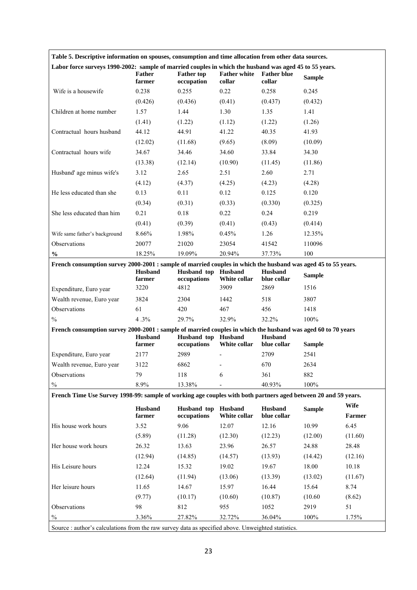**Table 5. Descriptive information on spouses, consumption and time allocation from other data sources.** 

| Labor force surveys 1990-2002: sample of married couples in which the husband was aged 45 to 55 years. |                         |                                 |                               |                              |               |  |  |  |  |
|--------------------------------------------------------------------------------------------------------|-------------------------|---------------------------------|-------------------------------|------------------------------|---------------|--|--|--|--|
|                                                                                                        | <b>Father</b><br>farmer | <b>Father top</b><br>occupation | <b>Father white</b><br>collar | <b>Father blue</b><br>collar | <b>Sample</b> |  |  |  |  |
| Wife is a housewife                                                                                    | 0.238                   | 0.255                           | 0.22                          | 0.258                        | 0.245         |  |  |  |  |
|                                                                                                        | (0.426)                 | (0.436)                         | (0.41)                        | (0.437)                      | (0.432)       |  |  |  |  |
| Children at home number                                                                                | 1.57                    | 1.44                            | 1.30                          | 1.35                         | 1.41          |  |  |  |  |
|                                                                                                        | (1.41)                  | (1.22)                          | (1.12)                        | (1.22)                       | (1.26)        |  |  |  |  |
| Contractual hours husband                                                                              | 44.12                   | 44.91                           | 41.22                         | 40.35                        | 41.93         |  |  |  |  |
|                                                                                                        | (12.02)                 | (11.68)                         | (9.65)                        | (8.09)                       | (10.09)       |  |  |  |  |
| Contractual hours wife                                                                                 | 34.67                   | 34.46                           | 34.60                         | 33.84                        | 34.30         |  |  |  |  |
|                                                                                                        | (13.38)                 | (12.14)                         | (10.90)                       | (11.45)                      | (11.86)       |  |  |  |  |
| Husband' age minus wife's                                                                              | 3.12                    | 2.65                            | 2.51                          | 2.60                         | 2.71          |  |  |  |  |
|                                                                                                        | (4.12)                  | (4.37)                          | (4.25)                        | (4.23)                       | (4.28)        |  |  |  |  |
| He less educated than she                                                                              | 0.13                    | 0.11                            | 0.12                          | 0.125                        | 0.120         |  |  |  |  |
|                                                                                                        | (0.34)                  | (0.31)                          | (0.33)                        | (0.330)                      | (0.325)       |  |  |  |  |
| She less educated than him                                                                             | 0.21                    | 0.18                            | 0.22                          | 0.24                         | 0.219         |  |  |  |  |
|                                                                                                        | (0.41)                  | (0.39)                          | (0.41)                        | (0.43)                       | (0.414)       |  |  |  |  |
| Wife same father's background                                                                          | 8.66%                   | 1.98%                           | 0.45%                         | 1.26                         | 12.35%        |  |  |  |  |
| Observations                                                                                           | 20077                   | 21020                           | 23054                         | 41542                        | 110096        |  |  |  |  |
| $\frac{6}{6}$                                                                                          | 18.25%                  | 19.09%                          | 20.94%                        | 37.73%                       | 100           |  |  |  |  |

| French consumption survey 2000-2001 : sample of married couples in which the husband was aged 45 to 55 years. |                          |                            |                         |                        |               |  |  |  |  |
|---------------------------------------------------------------------------------------------------------------|--------------------------|----------------------------|-------------------------|------------------------|---------------|--|--|--|--|
|                                                                                                               | <b>Husband</b><br>farmer | Husband top<br>occupations | Husband<br>White collar | Husband<br>blue collar | <b>Sample</b> |  |  |  |  |
| Expenditure, Euro year                                                                                        | 3220                     | 4812                       | 3909                    | 2869                   | 1516          |  |  |  |  |
| Wealth revenue, Euro year                                                                                     | 3824                     | 2304                       | 1442                    | 518                    | 3807          |  |  |  |  |
| <b>Observations</b>                                                                                           | 61                       | 420                        | 467                     | 456                    | 1418          |  |  |  |  |
| $\frac{0}{0}$                                                                                                 | $4.3\%$                  | 29.7%                      | 32.9%                   | 32.2%                  | 100%          |  |  |  |  |

| French consumption survey 2000-2001 : sample of married couples in which the husband was aged 60 to 70 years |                |             |                          |             |               |  |  |  |  |
|--------------------------------------------------------------------------------------------------------------|----------------|-------------|--------------------------|-------------|---------------|--|--|--|--|
|                                                                                                              | <b>Husband</b> | Husband top | <b>Husband</b>           |             |               |  |  |  |  |
|                                                                                                              | farmer         | occupations | White collar             | blue collar | <b>Sample</b> |  |  |  |  |
| Expenditure, Euro year                                                                                       | 2177           | 2989        |                          | 2709        | 2541          |  |  |  |  |
| Wealth revenue, Euro year                                                                                    | 3122           | 6862        | $\overline{\phantom{a}}$ | 670         | 2634          |  |  |  |  |
| <b>Observations</b>                                                                                          | 79             | 118         |                          | 361         | 882           |  |  |  |  |
| $\frac{0}{0}$                                                                                                | 8.9%           | 13.38%      | $\overline{\phantom{0}}$ | 40.93%      | 100%          |  |  |  |  |

**French Time Use Survey 1998-99: sample of working age couples with both partners aged between 20 and 59 years.** 

|                      | <b>Husband</b> | Husband top | Husband      | <b>Husband</b> | <b>Sample</b> | <b>Wife</b>   |
|----------------------|----------------|-------------|--------------|----------------|---------------|---------------|
|                      | farmer         | occupations | White collar | blue collar    |               | <b>Farmer</b> |
| His house work hours | 3.52           | 9.06        | 12.07        | 12.16          | 10.99         | 6.45          |
|                      | (5.89)         | (11.28)     | (12.30)      | (12.23)        | (12.00)       | (11.60)       |
| Her house work hours | 26.32          | 13.63       | 23.96        | 26.57          | 24.88         | 28.48         |
|                      | (12.94)        | (14.85)     | (14.57)      | (13.93)        | (14.42)       | (12.16)       |
| His Leisure hours    | 12.24          | 15.32       | 19.02        | 19.67          | 18.00         | 10.18         |
|                      | (12.64)        | (11.94)     | (13.06)      | (13.39)        | (13.02)       | (11.67)       |
| Her leisure hours    | 11.65          | 14.67       | 15.97        | 16.44          | 15.64         | 8.74          |
|                      | (9.77)         | (10.17)     | (10.60)      | (10.87)        | (10.60)       | (8.62)        |
| <b>Observations</b>  | 98             | 812         | 955          | 1052           | 2919          | 51            |
| $\frac{0}{0}$        | 3.36%          | 27.82%      | 32.72%       | 36.04%         | 100%          | 1.75%         |

Source : author's calculations from the raw survey data as specified above. Unweighted statistics.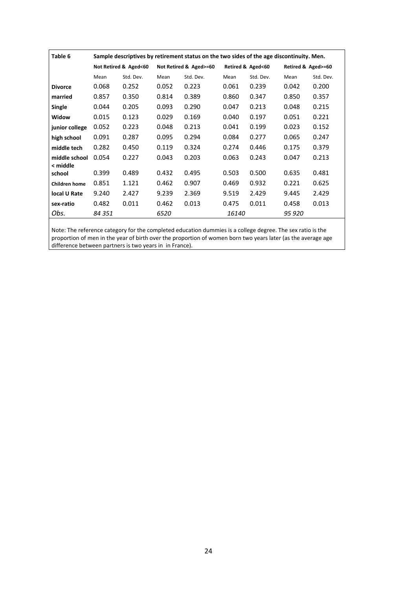| Table 6              | Sample descriptives by retirement status on the two sides of the age discontinuity. Men. |                       |       |                        |       |                   |                    |           |  |  |
|----------------------|------------------------------------------------------------------------------------------|-----------------------|-------|------------------------|-------|-------------------|--------------------|-----------|--|--|
|                      |                                                                                          | Not Retired & Aged<60 |       | Not Retired & Aged>=60 |       | Retired & Aged<60 | Retired & Aged>=60 |           |  |  |
|                      | Mean                                                                                     | Std. Dev.             | Mean  | Std. Dev.              | Mean  | Std. Dev.         | Mean               | Std. Dev. |  |  |
| <b>Divorce</b>       | 0.068                                                                                    | 0.252                 | 0.052 | 0.223                  | 0.061 | 0.239             | 0.042              | 0.200     |  |  |
| married              | 0.857                                                                                    | 0.350                 | 0.814 | 0.389                  | 0.860 | 0.347             | 0.850              | 0.357     |  |  |
| Single               | 0.044                                                                                    | 0.205                 | 0.093 | 0.290                  | 0.047 | 0.213             | 0.048              | 0.215     |  |  |
| Widow                | 0.015                                                                                    | 0.123                 | 0.029 | 0.169                  | 0.040 | 0.197             | 0.051              | 0.221     |  |  |
| junior college       | 0.052                                                                                    | 0.223                 | 0.048 | 0.213                  | 0.041 | 0.199             | 0.023              | 0.152     |  |  |
| high school          | 0.091                                                                                    | 0.287                 | 0.095 | 0.294                  | 0.084 | 0.277             | 0.065              | 0.247     |  |  |
| middle tech          | 0.282                                                                                    | 0.450                 | 0.119 | 0.324                  | 0.274 | 0.446             | 0.175              | 0.379     |  |  |
| middle school        | 0.054                                                                                    | 0.227                 | 0.043 | 0.203                  | 0.063 | 0.243             | 0.047              | 0.213     |  |  |
| < middle             |                                                                                          |                       |       |                        |       |                   |                    |           |  |  |
| school               | 0.399                                                                                    | 0.489                 | 0.432 | 0.495                  | 0.503 | 0.500             | 0.635              | 0.481     |  |  |
| <b>Children home</b> | 0.851                                                                                    | 1.121                 | 0.462 | 0.907                  | 0.469 | 0.932             | 0.221              | 0.625     |  |  |
| local U Rate         | 9.240                                                                                    | 2.427                 | 9.239 | 2.369                  | 9.519 | 2.429             | 9.445              | 2.429     |  |  |
| sex-ratio            | 0.482                                                                                    | 0.011                 | 0.462 | 0.013                  | 0.475 | 0.011             | 0.458              | 0.013     |  |  |
| Obs.                 | 84 351                                                                                   |                       | 6520  |                        | 16140 |                   | 95 920             |           |  |  |

Note: The reference category for the completed education dummies is a college degree. The sex ratio is the proportion of men in the year of birth over the proportion of women born two years later (as the average age difference between partners is two years in in France).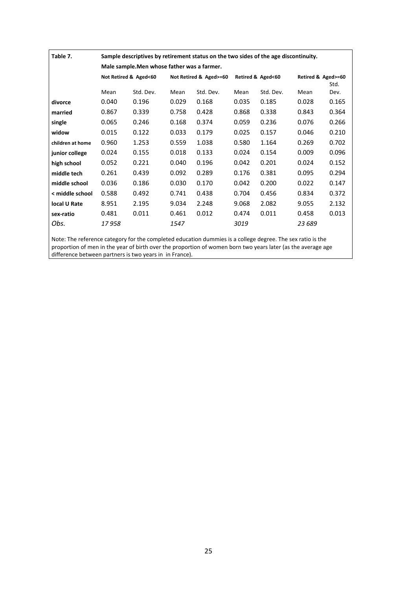| Sample descriptives by retirement status on the two sides of the age discontinuity. |           |                        |           |                                             |           |                   |                    |  |  |
|-------------------------------------------------------------------------------------|-----------|------------------------|-----------|---------------------------------------------|-----------|-------------------|--------------------|--|--|
|                                                                                     |           | Not Retired & Aged>=60 |           |                                             |           |                   | Std.               |  |  |
| Mean                                                                                | Std. Dev. | Mean                   | Std. Dev. | Mean                                        | Std. Dev. | Mean              | Dev.               |  |  |
| 0.040                                                                               | 0.196     | 0.029                  | 0.168     | 0.035                                       | 0.185     | 0.028             | 0.165              |  |  |
| 0.867                                                                               | 0.339     | 0.758                  | 0.428     | 0.868                                       | 0.338     | 0.843             | 0.364              |  |  |
| 0.065                                                                               | 0.246     | 0.168                  | 0.374     | 0.059                                       | 0.236     | 0.076             | 0.266              |  |  |
| 0.015                                                                               | 0.122     | 0.033                  | 0.179     | 0.025                                       | 0.157     | 0.046             | 0.210              |  |  |
| 0.960                                                                               | 1.253     | 0.559                  | 1.038     | 0.580                                       | 1.164     | 0.269             | 0.702              |  |  |
| 0.024                                                                               | 0.155     | 0.018                  | 0.133     | 0.024                                       | 0.154     | 0.009             | 0.096              |  |  |
| 0.052                                                                               | 0.221     | 0.040                  | 0.196     | 0.042                                       | 0.201     | 0.024             | 0.152              |  |  |
| 0.261                                                                               | 0.439     | 0.092                  | 0.289     | 0.176                                       | 0.381     | 0.095             | 0.294              |  |  |
| 0.036                                                                               | 0.186     | 0.030                  | 0.170     | 0.042                                       | 0.200     | 0.022             | 0.147              |  |  |
| 0.588                                                                               | 0.492     | 0.741                  | 0.438     | 0.704                                       | 0.456     | 0.834             | 0.372              |  |  |
| 8.951                                                                               | 2.195     | 9.034                  | 2.248     | 9.068                                       | 2.082     | 9.055             | 2.132              |  |  |
| 0.481                                                                               | 0.011     | 0.461                  | 0.012     | 0.474                                       | 0.011     | 0.458             | 0.013              |  |  |
| 17958                                                                               |           | 1547                   |           | 3019                                        |           | 23 689            |                    |  |  |
|                                                                                     |           | Not Retired & Aged<60  |           | Male sample. Men whose father was a farmer. |           | Retired & Aged<60 | Retired & Aged>=60 |  |  |

Note: The reference category for the completed education dummies is a college degree. The sex ratio is the proportion of men in the year of birth over the proportion of women born two years later (as the average age difference between partners is two years in in France).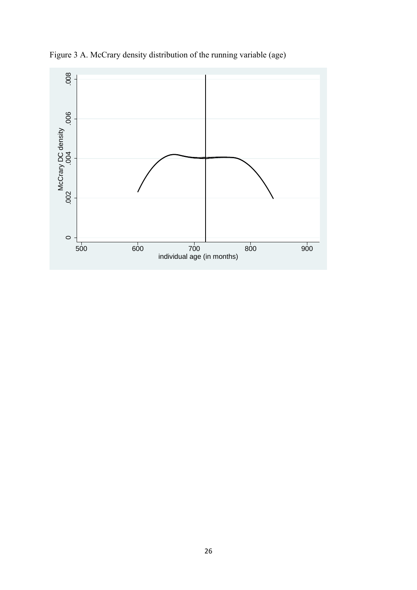

Figure 3 A. McCrary density distribution of the running variable (age)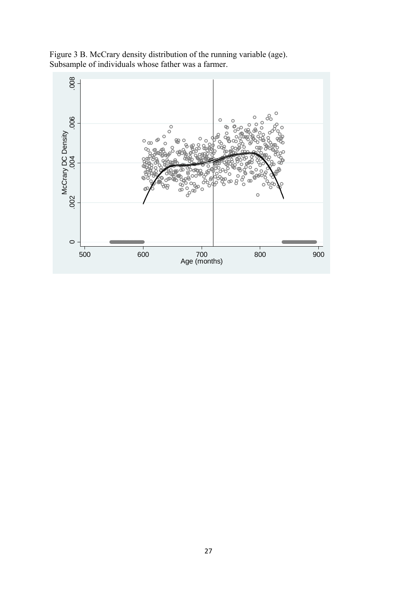

Figure 3 B. McCrary density distribution of the running variable (age). Subsample of individuals whose father was a farmer.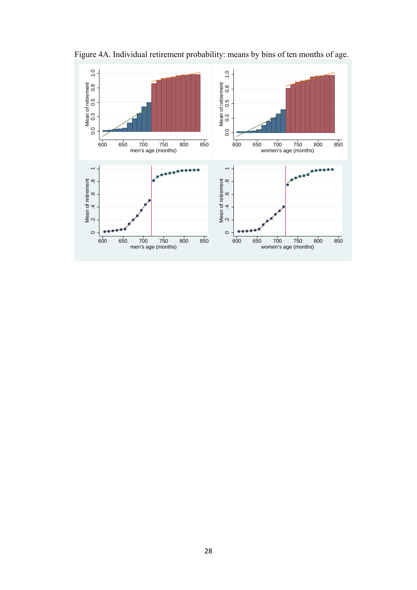

Figure 4A. Individual retirement probability: means by bins of ten months of age.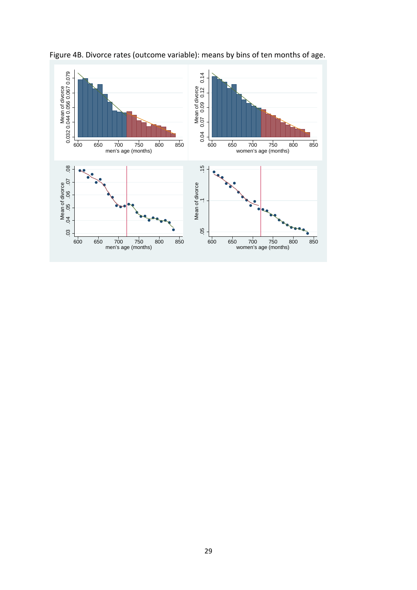

Figure 4B. Divorce rates (outcome variable): means by bins of ten months of age.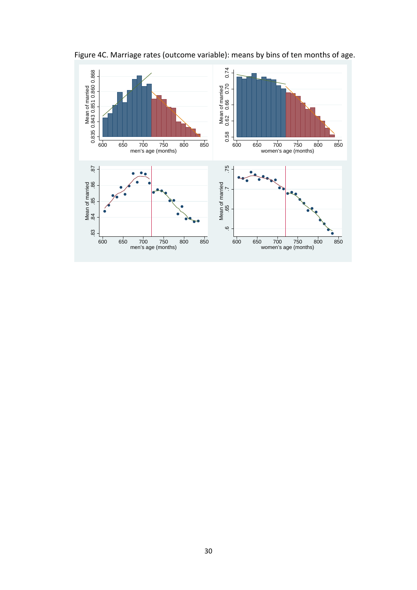

Figure 4C. Marriage rates (outcome variable): means by bins of ten months of age.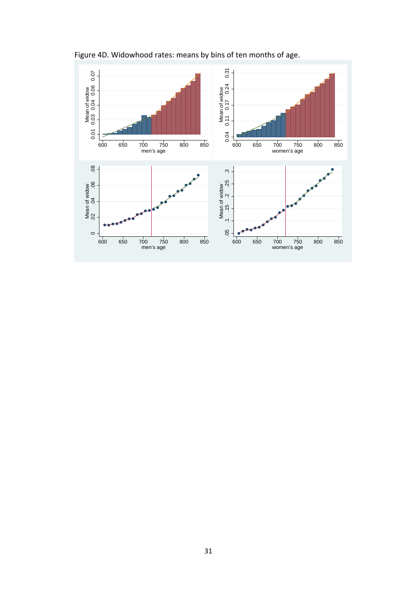

Figure 4D. Widowhood rates: means by bins of ten months of age.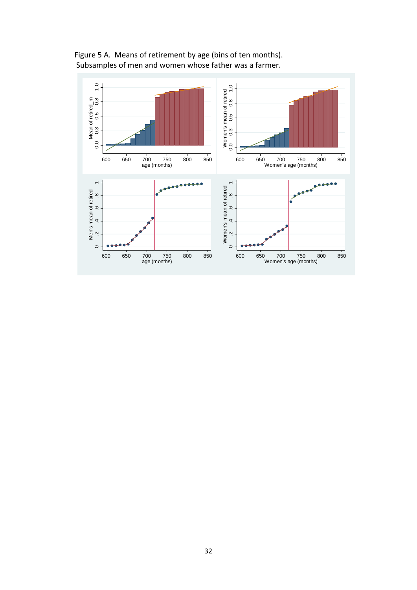

Figure 5 A. Means of retirement by age (bins of ten months). Subsamples of men and women whose father was a farmer.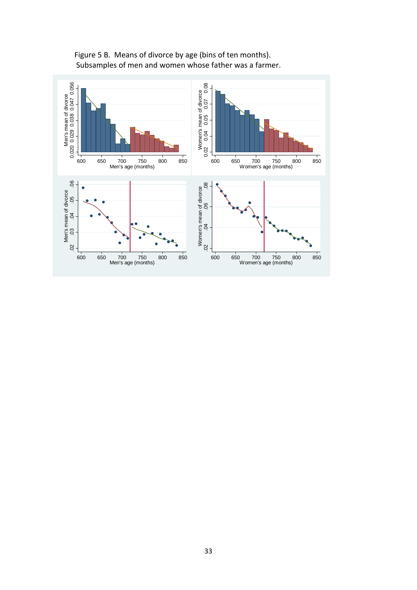

Figure 5 B. Means of divorce by age (bins of ten months). Subsamples of men and women whose father was a farmer.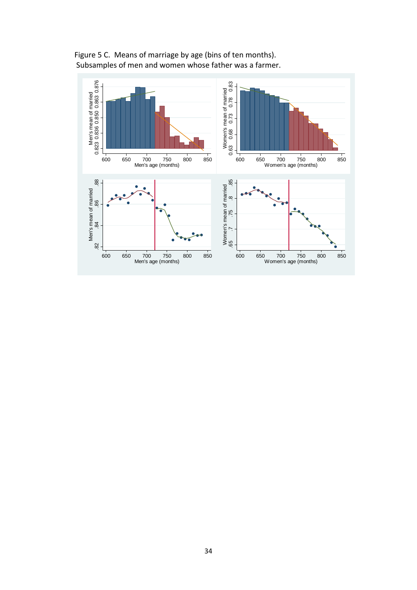

Figure 5 C. Means of marriage by age (bins of ten months). Subsamples of men and women whose father was a farmer.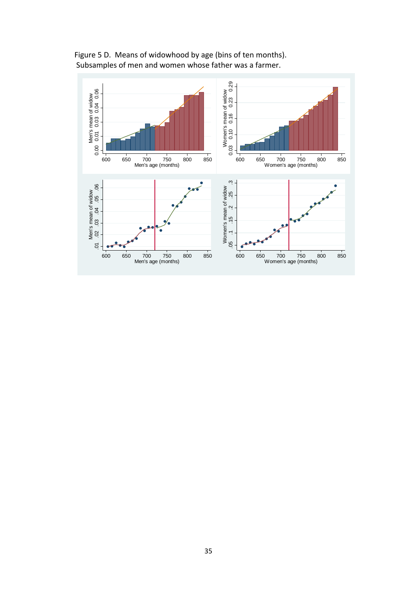

Figure 5 D. Means of widowhood by age (bins of ten months). Subsamples of men and women whose father was a farmer.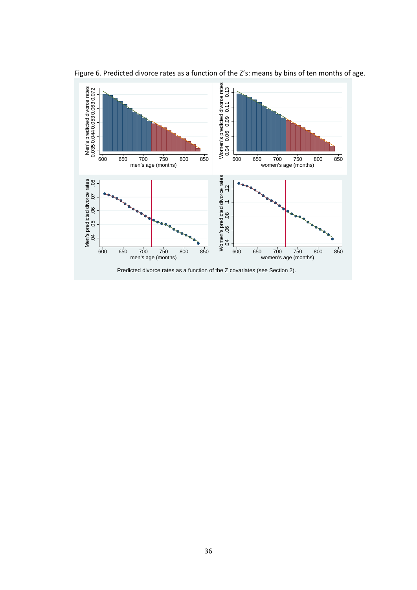

Figure 6. Predicted divorce rates as a function of the Z's: means by bins of ten months of age.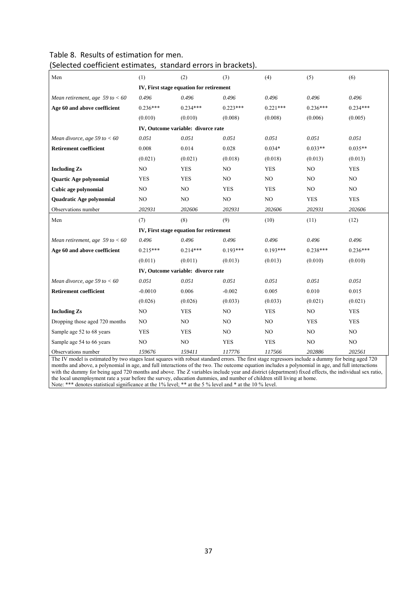#### Table 8. Results of estimation for men.

(Selected coefficient estimates, standard errors in brackets).

| Men                                 | (1)        | (2)                                     | (3)            | (4)        | (5)        | (6)        |
|-------------------------------------|------------|-----------------------------------------|----------------|------------|------------|------------|
|                                     |            | IV, First stage equation for retirement |                |            |            |            |
| Mean retirement, age $59$ to $<$ 60 | 0.496      | 0.496                                   | 0.496          | 0.496      | 0.496      | 0.496      |
| Age 60 and above coefficient        | $0.236***$ | $0.234***$                              | $0.223***$     | $0.221***$ | $0.236***$ | $0.234***$ |
|                                     | (0.010)    | (0.010)                                 | (0.008)        | (0.008)    | (0.006)    | (0.005)    |
|                                     |            | IV, Outcome variable: divorce rate      |                |            |            |            |
| Mean divorce, age 59 to $< 60$      | 0.051      | 0.051                                   | 0.051          | 0.051      | 0.051      | 0.051      |
| <b>Retirement coefficient</b>       | 0.008      | 0.014                                   | 0.028          | $0.034*$   | $0.033**$  | $0.035**$  |
|                                     | (0.021)    | (0.021)                                 | (0.018)        | (0.018)    | (0.013)    | (0.013)    |
| <b>Including Zs</b>                 | NO         | <b>YES</b>                              | NO             | <b>YES</b> | NO         | <b>YES</b> |
| Quartic Age polynomial              | <b>YES</b> | <b>YES</b>                              | NO.            | NO         | NO         | NO         |
| Cubic age polynomial                | NO         | NO                                      | <b>YES</b>     | <b>YES</b> | NO         | NO         |
| Quadratic Age polynomial            | NO         | NO                                      | NO             | NO         | <b>YES</b> | <b>YES</b> |
| Observations number                 | 202931     | 202606                                  | 202931         | 202606     | 202931     | 202606     |
| Men                                 | (7)        | (8)                                     | (9)            | (10)       | (11)       | (12)       |
|                                     |            | IV, First stage equation for retirement |                |            |            |            |
| Mean retirement, age 59 to $< 60$   | 0.496      | 0.496                                   | 0.496          | 0.496      | 0.496      | 0.496      |
| Age 60 and above coefficient        | $0.215***$ | $0.214***$                              | $0.193***$     | $0.193***$ | $0.238***$ | $0.236***$ |
|                                     | (0.011)    | (0.011)                                 | (0.013)        | (0.013)    | (0.010)    | (0.010)    |
|                                     |            | IV, Outcome variable: divorce rate      |                |            |            |            |
| Mean divorce, age 59 to $< 60$      | 0.051      | 0.051                                   | 0.051          | 0.051      | 0.051      | 0.051      |
| <b>Retirement coefficient</b>       | $-0.0010$  | 0.006                                   | $-0.002$       | 0.005      | 0.010      | 0.015      |
|                                     | (0.026)    | (0.026)                                 | (0.033)        | (0.033)    | (0.021)    | (0.021)    |
| <b>Including Zs</b>                 | $\rm NO$   | <b>YES</b>                              | NO             | <b>YES</b> | NO         | <b>YES</b> |
| Dropping those aged 720 months      | NO.        | NO                                      | NO.            | NO         | <b>YES</b> | <b>YES</b> |
| Sample age 52 to 68 years           | <b>YES</b> | <b>YES</b>                              | N <sub>O</sub> | NO         | NO         | NO         |
| Sample age 54 to 66 years           | NO         | NO                                      | <b>YES</b>     | <b>YES</b> | NO         | NO         |
| Observations number                 | 159676     | 159411                                  | 117776         | 117566     | 202886     | 202561     |

The IV model is estimated by two stages least squares with robust standard errors. The first stage regressors include a dummy for being aged 720 months and above, a polynomial in age, and full interactions of the two. The outcome equation includes a polynomial in age, and full interactions with the dummy for being aged 720 months and above. The Z variables include year and district (department) fixed effects, the individual sex ratio, the local unemployment rate a year before the survey, education dummies, and number of children still living at home. Note: \*\*\* denotes statistical significance at the 1% level; \*\* at the 5 % level and \* at the 10 % level.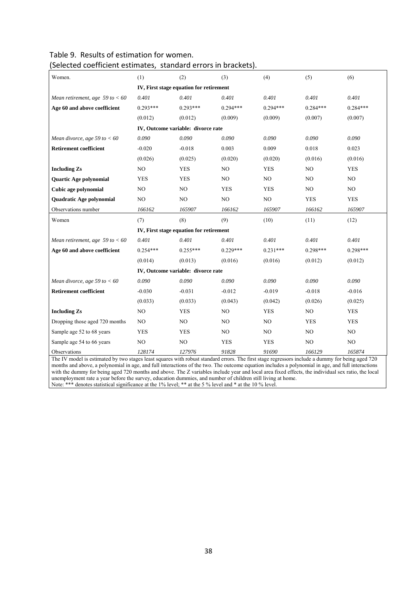#### Table 9. Results of estimation for women. (Selected coefficient estimates, standard errors in brackets).

| Women.                            | (1)        | (2)                                     | (3)            | (4)            | (5)        | (6)            |  |
|-----------------------------------|------------|-----------------------------------------|----------------|----------------|------------|----------------|--|
|                                   |            | IV, First stage equation for retirement |                |                |            |                |  |
| Mean retirement, age 59 to $< 60$ | 0.401      | 0.401                                   | 0.401          | 0.401          | 0.401      | 0.401          |  |
| Age 60 and above coefficient      | $0.293***$ | $0.293***$                              | $0.294***$     | $0.294***$     | $0.284***$ | $0.284***$     |  |
|                                   | (0.012)    | (0.012)                                 | (0.009)        | (0.009)        | (0.007)    | (0.007)        |  |
|                                   |            | IV, Outcome variable: divorce rate      |                |                |            |                |  |
| Mean divorce, age 59 to $< 60$    | 0.090      | 0.090                                   | 0.090          | 0.090          | 0.090      | 0.090          |  |
| <b>Retirement coefficient</b>     | $-0.020$   | $-0.018$                                | 0.003          | 0.009          | 0.018      | 0.023          |  |
|                                   | (0.026)    | (0.025)                                 | (0.020)        | (0.020)        | (0.016)    | (0.016)        |  |
| <b>Including Zs</b>               | NO         | <b>YES</b>                              | NO             | <b>YES</b>     | NO         | <b>YES</b>     |  |
| Quartic Age polynomial            | <b>YES</b> | <b>YES</b>                              | N <sub>O</sub> | N <sub>O</sub> | NO         | N <sub>O</sub> |  |
| Cubic age polynomial              | NO         | NO                                      | <b>YES</b>     | <b>YES</b>     | NO         | NO             |  |
| Quadratic Age polynomial          | NO         | NO                                      | NO             | NO             | <b>YES</b> | <b>YES</b>     |  |
| Observations number               | 166162     | 165907                                  | 166162         | 165907         | 166162     | 165907         |  |
| Women                             | (7)        | (8)                                     | (9)            | (10)           | (11)       | (12)           |  |
|                                   |            | IV, First stage equation for retirement |                |                |            |                |  |
| Mean retirement, age 59 to $< 60$ | 0.401      | 0.401                                   | 0.401          | 0.401          | 0.401      | 0.401          |  |
| Age 60 and above coefficient      | $0.254***$ | $0.255***$                              | $0.229***$     | $0.231***$     | $0.298***$ | $0.298***$     |  |
|                                   | (0.014)    | (0.013)                                 | (0.016)        | (0.016)        | (0.012)    | (0.012)        |  |
|                                   |            | IV, Outcome variable: divorce rate      |                |                |            |                |  |
| Mean divorce, age 59 to $< 60$    | 0.090      | 0.090                                   | 0.090          | 0.090          | 0.090      | 0.090          |  |
| <b>Retirement coefficient</b>     | $-0.030$   | $-0.031$                                | $-0.012$       | $-0.019$       | $-0.018$   | $-0.016$       |  |
|                                   | (0.033)    | (0.033)                                 | (0.043)        | (0.042)        | (0.026)    | (0.025)        |  |
| <b>Including Zs</b>               | NO         | <b>YES</b>                              | NO             | <b>YES</b>     | NO         | <b>YES</b>     |  |
| Dropping those aged 720 months    | NO         | NO                                      | NO             | NO             | <b>YES</b> | <b>YES</b>     |  |
| Sample age 52 to 68 years         | <b>YES</b> | <b>YES</b>                              | NO             | NO             | NO         | $\rm NO$       |  |
| Sample age 54 to 66 years         | NO         | NO                                      | <b>YES</b>     | <b>YES</b>     | NO         | NO             |  |
| Observations                      | 128174     | 127976                                  | 91828          | 91690          | 166129     | 165874         |  |

The IV model is estimated by two stages least squares with robust standard errors. The first stage regressors include a dummy for being aged 720 months and above, a polynomial in age, and full interactions of the two. The outcome equation includes a polynomial in age, and full interactions with the dummy for being aged 720 months and above. The Z variables include year and local area fixed effects, the individual sex ratio, the local unemployment rate a year before the survey, education dummies, and number of children still living at home. Note: \*\*\* denotes statistical significance at the 1% level; \*\* at the 5 % level and \* at the 10 % level.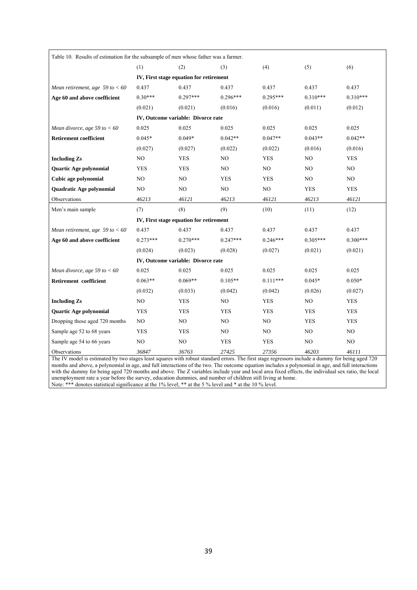| Table 10. Results of estimation for the subsample of men whose father was a farmer. |            |                                         |            |            |            |            |  |  |  |
|-------------------------------------------------------------------------------------|------------|-----------------------------------------|------------|------------|------------|------------|--|--|--|
|                                                                                     | (1)        | (2)                                     | (3)        | (4)        | (5)        | (6)        |  |  |  |
|                                                                                     |            | IV, First stage equation for retirement |            |            |            |            |  |  |  |
| Mean retirement, age 59 to $< 60$                                                   | 0.437      | 0.437                                   | 0.437      | 0.437      | 0.437      | 0.437      |  |  |  |
| Age 60 and above coefficient                                                        | $0.30***$  | $0.297***$                              | $0.296***$ | $0.295***$ | $0.310***$ | $0.310***$ |  |  |  |
|                                                                                     | (0.021)    | (0.021)                                 | (0.016)    | (0.016)    | (0.011)    | (0.012)    |  |  |  |
|                                                                                     |            | IV, Outcome variable: Divorce rate      |            |            |            |            |  |  |  |
| Mean divorce, age 59 to $< 60$                                                      | 0.025      | 0.025                                   | 0.025      | 0.025      | 0.025      | 0.025      |  |  |  |
| <b>Retirement coefficient</b>                                                       | $0.045*$   | $0.049*$                                | $0.042**$  | $0.047**$  | $0.043**$  | $0.042**$  |  |  |  |
|                                                                                     | (0.027)    | (0.027)                                 | (0.022)    | (0.022)    | (0.016)    | (0.016)    |  |  |  |
| <b>Including Zs</b>                                                                 | NO         | <b>YES</b>                              | NO         | <b>YES</b> | NO         | <b>YES</b> |  |  |  |
| <b>Quartic Age polynomial</b>                                                       | <b>YES</b> | <b>YES</b>                              | NO         | NO         | NO.        | NO         |  |  |  |
| Cubic age polynomial                                                                | NO         | NO.                                     | <b>YES</b> | <b>YES</b> | NO.        | NO         |  |  |  |
| <b>Ouadratic Age polynomial</b>                                                     | NO         | N <sub>O</sub>                          | NO         | NO         | <b>YES</b> | <b>YES</b> |  |  |  |
| Observations                                                                        | 46213      | 46121                                   | 46213      | 46121      | 46213      | 46121      |  |  |  |
|                                                                                     |            |                                         |            |            |            |            |  |  |  |
| Men's main sample                                                                   | (7)        | (8)                                     | (9)        | (10)       | (11)       | (12)       |  |  |  |
|                                                                                     |            | IV, First stage equation for retirement |            |            |            |            |  |  |  |
| Mean retirement, age 59 to $< 60$                                                   | 0.437      | 0.437                                   | 0.437      | 0.437      | 0.437      | 0.437      |  |  |  |
| Age 60 and above coefficient                                                        | $0.273***$ | $0.270***$                              | $0.247***$ | $0.246***$ | $0.305***$ | $0.300***$ |  |  |  |
|                                                                                     | (0.024)    | (0.023)                                 | (0.028)    | (0.027)    | (0.021)    | (0.021)    |  |  |  |
|                                                                                     |            | IV, Outcome variable: Divorce rate      |            |            |            |            |  |  |  |
| Mean divorce, age 59 to $< 60$                                                      | 0.025      | 0.025                                   | 0.025      | 0.025      | 0.025      | 0.025      |  |  |  |
| Retirement coefficient                                                              | $0.063**$  | $0.069**$                               | $0.105**$  | $0.111***$ | $0.045*$   | $0.050*$   |  |  |  |
|                                                                                     | (0.032)    | (0.033)                                 | (0.042)    | (0.042)    | (0.026)    | (0.027)    |  |  |  |
| <b>Including Zs</b>                                                                 | NO         | <b>YES</b>                              | NO         | <b>YES</b> | NO         | <b>YES</b> |  |  |  |
| Quartic Age polynomial                                                              | <b>YES</b> | <b>YES</b>                              | <b>YES</b> | <b>YES</b> | <b>YES</b> | <b>YES</b> |  |  |  |
| Dropping those aged 720 months                                                      | NO         | NO                                      | NO         | NO.        | <b>YES</b> | <b>YES</b> |  |  |  |
| Sample age 52 to 68 years                                                           | <b>YES</b> | <b>YES</b>                              | NO         | NO         | NO         | NO.        |  |  |  |
| Sample age 54 to 66 years                                                           | NO         | NO                                      | <b>YES</b> | <b>YES</b> | NO         | NO         |  |  |  |

The IV model is estimated by two stages least squares with robust standard errors. The first stage regressors include a dummy for being aged 720 months and above, a polynomial in age, and full interactions of the two. The outcome equation includes a polynomial in age, and full interactions with the dummy for being aged 720 months and above. The Z variables include year and local area fixed effects, the individual sex ratio, the local unemployment rate a year before the survey, education dummies, and number of children still living at home. Note: \*\*\* denotes statistical significance at the 1% level; \*\* at the 5 % level and \* at the 10 % level.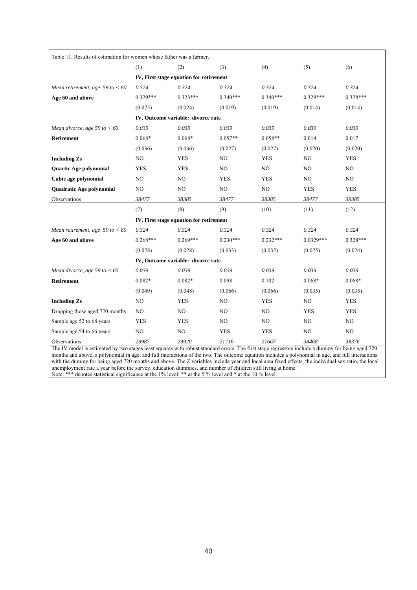| Table 11. Results of estimation for women whose father was a farmer. |            |                                         |            |            |             |            |  |
|----------------------------------------------------------------------|------------|-----------------------------------------|------------|------------|-------------|------------|--|
|                                                                      | (1)        | (2)                                     | (3)        | (4)        | (5)         | (6)        |  |
|                                                                      |            | IV, First stage equation for retirement |            |            |             |            |  |
| Mean retirement, age 59 to $< 60$                                    | 0.324      | 0.324                                   | 0.324      | 0.324      | 0.324       | 0.324      |  |
| Age 60 and above                                                     | $0.329***$ | $0.323***$                              | $0.340***$ | $0.340***$ | $0.329***$  | $0.328***$ |  |
|                                                                      | (0.025)    | (0.024)                                 | (0.019)    | (0.019)    | (0.014)     | (0.014)    |  |
|                                                                      |            | IV, Outcome variable: divorce rate      |            |            |             |            |  |
| Mean divorce, age 59 to $< 60$                                       | 0.039      | 0.039                                   | 0.039      | 0.039      | 0.039       | 0.039      |  |
| <b>Retirement</b>                                                    | $0.068*$   | $0.068*$                                | $0.057**$  | $0.058**$  | 0.014       | 0.017      |  |
|                                                                      | (0.036)    | (0.036)                                 | (0.027)    | (0.027)    | (0.020)     | (0.020)    |  |
| <b>Including Zs</b>                                                  | NO         | <b>YES</b>                              | NO         | <b>YES</b> | NO          | <b>YES</b> |  |
| Quartic Age polynomial                                               | <b>YES</b> | <b>YES</b>                              | NO.        | NO         | NO          | NO         |  |
| Cubic age polynomial                                                 | NO         | NO                                      | <b>YES</b> | <b>YES</b> | NO          | NO         |  |
| Quadratic Age polynomial                                             | NO         | NO                                      | NO         | NO         | <b>YES</b>  | <b>YES</b> |  |
| Observations                                                         | 38477      | 38385                                   | 38477      | 38385      | 38477       | 38385      |  |
|                                                                      | (7)        | (8)                                     | (9)        | (10)       | (11)        | (12)       |  |
|                                                                      |            | IV, First stage equation for retirement |            |            |             |            |  |
| Mean retirement, age 59 to $< 60$                                    | 0.324      | 0.324                                   | 0.324      | 0.324      | 0.324       | 0.324      |  |
| Age 60 and above                                                     | $0.268***$ | $0.269***$                              | $0.230***$ | $0.232***$ | $0.0329***$ | $0.328***$ |  |
|                                                                      | (0.028)    | (0.028)                                 | (0.033)    | (0.032)    | (0.025)     | (0.024)    |  |
|                                                                      |            | IV, Outcome variable: divorce rate      |            |            |             |            |  |
| Mean divorce, age 59 to $< 60$                                       | 0.039      | 0.039                                   | 0.039      | 0.039      | 0.039       | 0.039      |  |
| <b>Retirement</b>                                                    | $0.082*$   | $0.082*$                                | 0.098      | 0.102      | $0.068*$    | $0.068*$   |  |
|                                                                      | (0.049)    | (0.048)                                 | (0.066)    | (0.066)    | (0.035)     | (0.035)    |  |
| <b>Including Zs</b>                                                  | NO         | <b>YES</b>                              | NO         | <b>YES</b> | NO.         | <b>YES</b> |  |
| Dropping those aged 720 months                                       | NO.        | NO                                      | NO.        | NO         | <b>YES</b>  | <b>YES</b> |  |
| Sample age 52 to 68 years                                            | <b>YES</b> | <b>YES</b>                              | NO.        | NO         | NO          | NO         |  |
| Sample age 54 to 66 years                                            | NO         | NO                                      | <b>YES</b> | <b>YES</b> | NO          | NO         |  |
| Observations                                                         | 29987      | 29920                                   | 21716      | 21667      | 38468       | 38376      |  |

The IV model is estimated by two stages least squares with robust standard errors. The first stage regressors include a dummy for being aged 720 months and above, a polynomial in age, and full interactions of the two. The outcome equation includes a polynomial in age, and full interactions with the dummy for being aged 720 months and above. The Z variables include year and local area fixed effects, the individual sex ratio, the local unemployment rate a year before the survey, education dummies, and number of children still living at home. Note: \*\*\* denotes statistical significance at the 1% level; \*\* at the 5 % level and \* at the 10 % level.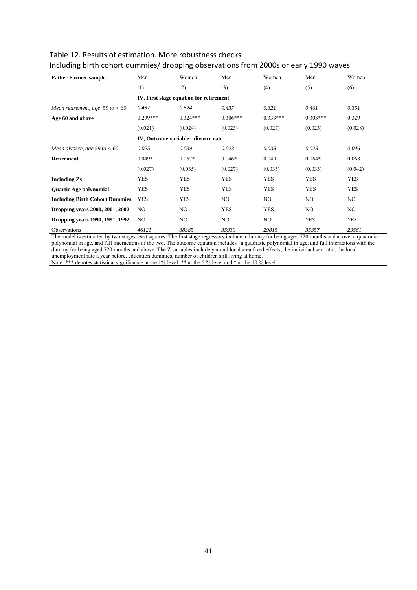| ັ                                     |                | . .<br>ັ                                |            |            |            |            |
|---------------------------------------|----------------|-----------------------------------------|------------|------------|------------|------------|
| <b>Father Farmer sample</b>           | Men            | Women                                   | Men        | Women      | Men        | Women      |
|                                       | (1)            | (2)                                     | (3)        | (4)        | (5)        | (6)        |
|                                       |                | IV, First stage equation for retirement |            |            |            |            |
| Mean retirement, age 59 to $< 60$     | 0.437          | 0.324                                   | 0.437      | 0.321      | 0.461      | 0.351      |
| Age 60 and above                      | $0.299***$     | $0.324***$                              | $0.306***$ | $0.333***$ | $0.303***$ | 0.329      |
|                                       | (0.021)        | (0.024)                                 | (0.023)    | (0.027)    | (0.023)    | (0.028)    |
|                                       |                | IV, Outcome variable: divorce rate      |            |            |            |            |
| Mean divorce, age 59 to $< 60$        | 0.025          | 0.039                                   | 0.023      | 0.038      | 0.028      | 0.046      |
| <b>Retirement</b>                     | $0.049*$       | $0.067*$                                | $0.046*$   | 0.049      | $0.064*$   | 0.068      |
|                                       | (0.027)        | (0.035)                                 | (0.027)    | (0.035)    | (0.033)    | (0.042)    |
| <b>Including Zs</b>                   | <b>YES</b>     | <b>YES</b>                              | <b>YES</b> | <b>YES</b> | <b>YES</b> | <b>YES</b> |
| Quartic Age polynomial                | <b>YES</b>     | <b>YES</b>                              | <b>YES</b> | <b>YES</b> | <b>YES</b> | <b>YES</b> |
| <b>Including Birth Cohort Dummies</b> | <b>YES</b>     | <b>YES</b>                              | NO.        | NO.        | NO.        | NO.        |
| Dropping years 2000, 2001, 2002       | NO.            | NO.                                     | <b>YES</b> | <b>YES</b> | NO.        | NO.        |
| Dropping years 1990, 1991, 1992       | N <sub>O</sub> | NO.                                     | NO.        | NO.        | YES        | YES        |
| Observations                          | 46121          | 38385                                   | 35930      | 29815      | 35357      | 29561      |

#### Table 12. Results of estimation. More robustness checks. Including birth cohort dummies/ dropping observations from 2000s or early 1990 waves

The model is estimated by two stages least squares. The first stage regressors include a dummy for being aged 720 months and above, a quadratic polynomial in age, and full interactions of the two. The outcome equation includes a quadratic polynomial in age, and full interactions with the dummy for being aged 720 months and above. The Z variables include yar and local area fixed effects, the individual sex ratio, the local unemployment rate a year before, education dummies, number of children still living at home. Note: \*\*\* denotes statistical significance at the 1% level; \*\* at the 5 % level and \* at the 10 % level.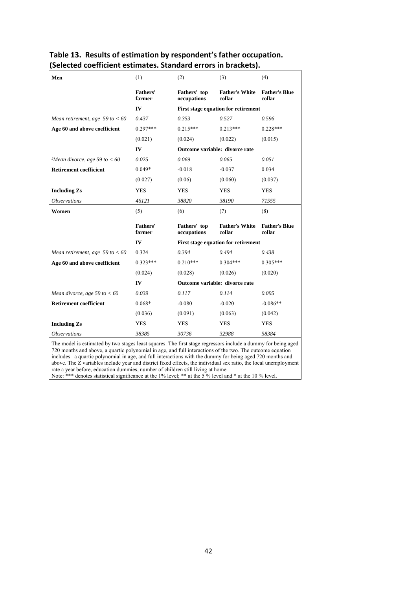| Men<br>(1)<br>(2)<br>(4)<br>(3)                                                                       |                      |
|-------------------------------------------------------------------------------------------------------|----------------------|
| Fathers'<br>Fathers' top<br><b>Father's White</b><br>occupations<br>farmer<br>collar<br>collar        | <b>Father's Blue</b> |
| IV<br><b>First stage equation for retirement</b>                                                      |                      |
| 0.527<br>0.437<br>0.353<br>0.596<br>Mean retirement, age 59 to $< 60$                                 |                      |
| $0.297***$<br>$0.215***$<br>$0.228***$<br>$0.213***$<br>Age 60 and above coefficient                  |                      |
| (0.021)<br>(0.024)<br>(0.022)<br>(0.015)                                                              |                      |
| Outcome variable: divorce rate<br>IV                                                                  |                      |
| <sup>2</sup> Mean divorce, age 59 to $< 60$<br>0.025<br>0.069<br>0.065<br>0.051                       |                      |
| <b>Retirement coefficient</b><br>$0.049*$<br>$-0.018$<br>$-0.037$<br>0.034                            |                      |
|                                                                                                       |                      |
| (0.06)<br>(0.027)<br>(0.060)<br>(0.037)                                                               |                      |
| <b>Including Zs</b><br><b>YES</b><br><b>YES</b><br><b>YES</b><br><b>YES</b>                           |                      |
| 46121<br>38820<br>38190<br><i><b>Observations</b></i><br>71555                                        |                      |
| (6)<br>(8)<br>(5)<br>(7)<br>Women                                                                     |                      |
| <b>Fathers'</b><br>Fathers' top<br><b>Father's White</b><br>occupations<br>collar<br>collar<br>farmer | <b>Father's Blue</b> |
| IV<br><b>First stage equation for retirement</b>                                                      |                      |
| 0.394<br>Mean retirement, age 59 to $< 60$<br>0.494<br>0.438<br>0.324                                 |                      |
| $0.323***$<br>$0.210***$<br>$0.304***$<br>$0.305***$<br>Age 60 and above coefficient                  |                      |
| (0.020)<br>(0.024)<br>(0.028)<br>(0.026)                                                              |                      |
| IV<br>Outcome variable: divorce rate                                                                  |                      |
| Mean divorce, age 59 to $< 60$<br>0.117<br>0.114<br>0.095<br>0.039                                    |                      |
| <b>Retirement coefficient</b><br>$0.068*$<br>$-0.086**$<br>$-0.080$<br>$-0.020$                       |                      |
| (0.036)<br>(0.091)<br>(0.063)<br>(0.042)                                                              |                      |
| <b>YES</b><br><b>Including Zs</b><br><b>YES</b><br><b>YES</b><br><b>YES</b>                           |                      |

#### **Table 13. Results of estimation by respondent's father occupation. (Selected coefficient estimates. Standard errors in brackets).**

The model is estimated by two stages least squares. The first stage regressors include a dummy for being aged 720 months and above, a quartic polynomial in age, and full interactions of the two. The outcome equation includes a quartic polynomial in age, and full interactions with the dummy for being aged 720 months and above. The Z variables include year and district fixed effects, the individual sex ratio, the local unemployment rate a year before, education dummies, number of children still living at home. Note: \*\*\* denotes statistical significance at the 1% level; \*\* at the 5% level and \* at the 10% level.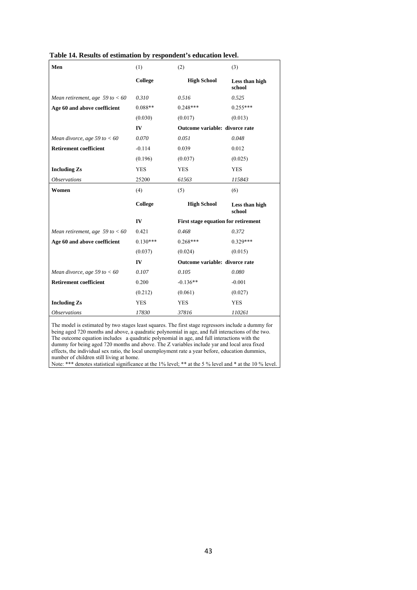| Men                               | (1)        | (2)                                        | (3)                      |
|-----------------------------------|------------|--------------------------------------------|--------------------------|
|                                   | College    | <b>High School</b>                         | Less than high<br>school |
| Mean retirement, age 59 to $< 60$ | 0.310      | 0.516                                      | 0.525                    |
| Age 60 and above coefficient      | $0.088**$  | $0.248***$                                 | $0.255***$               |
|                                   | (0.030)    | (0.017)                                    | (0.013)                  |
|                                   | IV         | Outcome variable: divorce rate             |                          |
| Mean divorce, age 59 to $< 60$    | 0.070      | 0.051                                      | 0.048                    |
| <b>Retirement coefficient</b>     | $-0.114$   | 0.039                                      | 0.012                    |
|                                   | (0.196)    | (0.037)                                    | (0.025)                  |
| <b>Including Zs</b>               | <b>YES</b> | <b>YES</b>                                 | <b>YES</b>               |
| <i><b>Observations</b></i>        | 25200      | 61563                                      | 115843                   |
| Women                             | (4)        | (5)                                        | (6)                      |
|                                   | College    | <b>High School</b>                         | Less than high<br>school |
|                                   | IV         | <b>First stage equation for retirement</b> |                          |
| Mean retirement, age 59 to $< 60$ | 0.421      | 0.468                                      | 0.372                    |
| Age 60 and above coefficient      | $0.130***$ | $0.268***$                                 | $0.329***$               |
|                                   | (0.037)    | (0.024)                                    | (0.015)                  |
|                                   | IV         | Outcome variable: divorce rate             |                          |
| Mean divorce, age 59 to $<$ 60    | 0.107      | 0.105                                      | 0.080                    |
| <b>Retirement coefficient</b>     | 0.200      | $-0.136**$                                 | $-0.001$                 |
|                                   | (0.212)    | (0.061)                                    | (0.027)                  |
| <b>Including Zs</b>               | <b>YES</b> | <b>YES</b>                                 | <b>YES</b>               |
| <i><b>Observations</b></i>        | 17830      | 37816                                      | 110261                   |

**Table 14. Results of estimation by respondent's education level**.

The model is estimated by two stages least squares. The first stage regressors include a dummy for being aged 720 months and above, a quadratic polynomial in age, and full interactions of the two. The outcome equation includes a quadratic polynomial in age, and full interactions with the dummy for being aged 720 months and above. The Z variables include yar and local area fixed effects, the individual sex ratio, the local unemployment rate a year before, education dummies, number of children still living at home. Note: \*\*\* denotes statistical significance at the 1% level; \*\* at the 5 % level and \* at the 10 % level.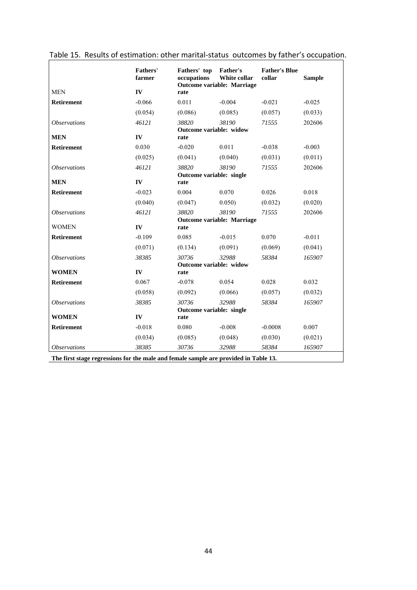|                            | Fathers'<br>farmer | Fathers' top<br>occupations      | Father's<br>White collar<br><b>Outcome variable: Marriage</b> | <b>Father's Blue</b><br>collar | <b>Sample</b> |
|----------------------------|--------------------|----------------------------------|---------------------------------------------------------------|--------------------------------|---------------|
| <b>MEN</b>                 | IV                 | rate                             |                                                               |                                |               |
| <b>Retirement</b>          | $-0.066$           | 0.011                            | $-0.004$                                                      | $-0.021$                       | $-0.025$      |
|                            | (0.054)            | (0.086)                          | (0.085)                                                       | (0.057)                        | (0.033)       |
| <b>Observations</b>        | 46121              | 38820                            | 38190                                                         | 71555                          | 202606        |
| <b>MEN</b>                 | IV                 | Outcome variable: widow<br>rate  |                                                               |                                |               |
| <b>Retirement</b>          | 0.030              | $-0.020$                         | 0.011                                                         | $-0.038$                       | $-0.003$      |
|                            | (0.025)            | (0.041)                          | (0.040)                                                       | (0.031)                        | (0.011)       |
| <b>Observations</b>        | 46121              | 38820                            | 38190                                                         | 71555                          | 202606        |
| <b>MEN</b>                 | IV                 | Outcome variable: single<br>rate |                                                               |                                |               |
| <b>Retirement</b>          | $-0.023$           | 0.004                            | 0.070                                                         | 0.026                          | 0.018         |
|                            | (0.040)            | (0.047)                          | 0.050                                                         | (0.032)                        | (0.020)       |
| <b>Observations</b>        | 46121              | 38820                            | 38190                                                         | 71555                          | 202606        |
| <b>WOMEN</b>               | IV                 | rate                             | <b>Outcome variable: Marriage</b>                             |                                |               |
| Retirement                 | $-0.109$           | 0.085                            | $-0.015$                                                      | 0.070                          | $-0.011$      |
|                            | (0.071)            | (0.134)                          | (0.091)                                                       | (0.069)                        | (0.041)       |
| <i><b>Observations</b></i> | 38385              | 30736                            | 32988                                                         | 58384                          | 165907        |
| <b>WOMEN</b>               | IV                 | Outcome variable: widow<br>rate  |                                                               |                                |               |
| Retirement                 | 0.067              | $-0.078$                         | 0.054                                                         | 0.028                          | 0.032         |
|                            | (0.058)            | (0.092)                          | (0.066)                                                       | (0.057)                        | (0.032)       |
| <i><b>Observations</b></i> | 38385              | 30736                            | 32988                                                         | 58384                          | 165907        |
| <b>WOMEN</b>               | IV                 | Outcome variable: single<br>rate |                                                               |                                |               |
| Retirement                 | $-0.018$           | 0.080                            | $-0.008$                                                      | $-0.0008$                      | 0.007         |
|                            | (0.034)            | (0.085)                          | (0.048)                                                       | (0.030)                        | (0.021)       |
| <i><b>Observations</b></i> | 38385              | 30736                            | 32988                                                         | 58384                          | 165907        |

| Table 15. Results of estimation: other marital-status outcomes by father's occupation. |  |
|----------------------------------------------------------------------------------------|--|
|----------------------------------------------------------------------------------------|--|

**The first stage regressions for the male and female sample are provided in Table 13.**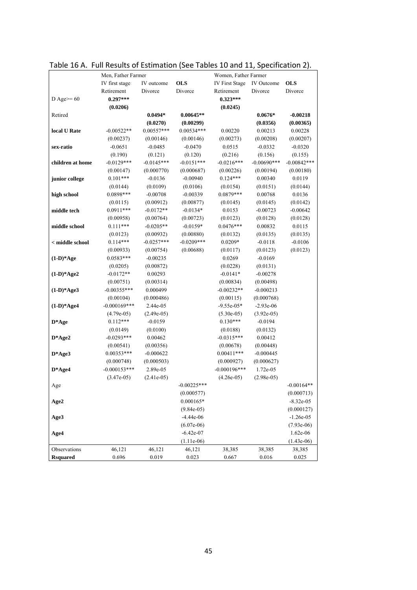|                        | Men, Father Farmer |              |               | Women, Father Farmer |               |               |
|------------------------|--------------------|--------------|---------------|----------------------|---------------|---------------|
|                        | IV first stage     | IV outcome   | <b>OLS</b>    | IV First Stage       | IV Outcome    | <b>OLS</b>    |
|                        | Retirement         | Divorce      | Divorce       | Retirement           | Divorce       | Divorce       |
| D Age $>= 60$          | $0.297***$         |              |               | $0.323***$           |               |               |
|                        | (0.0206)           |              |               | (0.0245)             |               |               |
| Retired                |                    | $0.0494*$    | $0.00645**$   |                      | $0.0676*$     | $-0.00218$    |
|                        |                    | (0.0270)     | (0.00299)     |                      | (0.0356)      | (0.00365)     |
| local U Rate           | $-0.00522**$       | $0.00557***$ | $0.00534***$  | 0.00220              | 0.00213       | 0.00228       |
|                        | (0.00237)          | (0.00146)    | (0.00146)     | (0.00273)            | (0.00208)     | (0.00207)     |
| sex-ratio              | $-0.0651$          | $-0.0485$    | $-0.0470$     | 0.0515               | $-0.0332$     | $-0.0320$     |
|                        | (0.190)            | (0.121)      | (0.120)       | (0.216)              | (0.156)       | (0.155)       |
| children at home       | $-0.0129***$       | $-0.0145***$ | $-0.0151***$  | $-0.0216***$         | $-0.00690***$ | $-0.00842***$ |
|                        | (0.00147)          | (0.000770)   | (0.000687)    | (0.00226)            | (0.00194)     | (0.00180)     |
| junior college         | $0.101***$         | $-0.0136$    | $-0.00940$    | $0.124***$           | 0.00340       | 0.0119        |
|                        | (0.0144)           | (0.0109)     | (0.0106)      | (0.0154)             | (0.0151)      | (0.0144)      |
| high school            | $0.0898***$        | $-0.00708$   | $-0.00339$    | $0.0879***$          | 0.00768       | 0.0136        |
|                        | (0.0115)           | (0.00912)    | (0.00877)     | (0.0145)             | (0.0145)      | (0.0142)      |
| middle tech            | $0.0911***$        | $-0.0172**$  | $-0.0134*$    | 0.0153               | $-0.00723$    | $-0.00642$    |
|                        | (0.00958)          | (0.00764)    | (0.00723)     | (0.0123)             | (0.0128)      | (0.0128)      |
| middle school          | $0.111***$         | $-0.0205**$  | $-0.0159*$    | $0.0476***$          | 0.00832       | 0.0115        |
|                        | (0.0123)           | (0.00932)    | (0.00880)     | (0.0132)             | (0.0135)      | (0.0135)      |
| $<$ middle school $\,$ | $0.114***$         | $-0.0257***$ | $-0.0209***$  | $0.0209*$            | $-0.0118$     | $-0.0106$     |
|                        | (0.00933)          | (0.00754)    | (0.00688)     | (0.0117)             | (0.0123)      | (0.0123)      |
| $(1-D)*Age$            | $0.0583***$        | $-0.00235$   |               | 0.0269               | $-0.0169$     |               |
|                        | (0.0205)           | (0.00872)    |               | (0.0228)             | (0.0131)      |               |
| $(1-D)*Age2$           | $-0.0172**$        | 0.00293      |               | $-0.0141*$           | $-0.00278$    |               |
|                        | (0.00751)          | (0.00314)    |               | (0.00834)            | (0.00498)     |               |
| $(1-D)*Age3$           | $-0.00355***$      | 0.000499     |               | $-0.00232**$         | $-0.000213$   |               |
|                        | (0.00104)          | (0.000486)   |               | (0.00115)            | (0.000768)    |               |
| $(1-D)*Age4$           | $-0.000169$ ***    | 2.44e-05     |               | $-9.55e-05*$         | $-2.93e-06$   |               |
|                        | $(4.79e-05)$       | $(2.49e-05)$ |               | $(5.30e-05)$         | $(3.92e-05)$  |               |
| $D^*Age$               | $0.112***$         | $-0.0159$    |               | $0.130***$           | $-0.0194$     |               |
|                        | (0.0149)           | (0.0100)     |               | (0.0188)             | (0.0132)      |               |
| D*Age2                 | $-0.0293***$       | 0.00462      |               | $-0.0315***$         | 0.00412       |               |
|                        | (0.00541)          | (0.00356)    |               | (0.00678)            | (0.00448)     |               |
| D*Age3                 | $0.00353***$       | $-0.000622$  |               | $0.00411***$         | $-0.000445$   |               |
|                        | (0.000748)         | (0.000503)   |               | (0.000927)           | (0.000627)    |               |
| D*Age4                 | $-0.000153***$     | 2.89e-05     |               | $-0.000196$ ***      | 1.72e-05      |               |
|                        | $(3.47e-05)$       | $(2.41e-05)$ |               | $(4.26e-05)$         | $(2.98e-05)$  |               |
| Age                    |                    |              | $-0.00225***$ |                      |               | $-0.00164**$  |
|                        |                    |              | (0.000577)    |                      |               | (0.000713)    |
| Age2                   |                    |              | $0.000165*$   |                      |               | $-8.32e-05$   |
|                        |                    |              | $(9.84e-05)$  |                      |               | (0.000127)    |
| Age3                   |                    |              | $-4.44e-06$   |                      |               | $-1.26e-05$   |
|                        |                    |              | $(6.07e-06)$  |                      |               | $(7.93e-06)$  |
| Age4                   |                    |              | $-6.42e-07$   |                      |               | 1.62e-06      |
|                        |                    |              | $(1.11e-06)$  |                      |               | $(1.43e-06)$  |
| Observations           | 46,121             | 46,121       | 46,121        | 38,385               | 38,385        | 38,385        |
| <b>Rsquared</b>        | 0.696              | 0.019        | 0.023         | 0.667                | 0.016         | 0.025         |

|  |  |  |  | Table 16 A. Full Results of Estimation (See Tables 10 and 11, Specification 2). |  |
|--|--|--|--|---------------------------------------------------------------------------------|--|
|--|--|--|--|---------------------------------------------------------------------------------|--|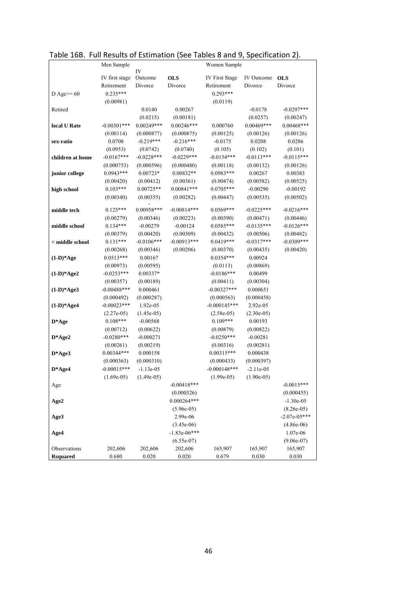|                  | Men Sample     |              |                | Women Sample    |                   |                |
|------------------|----------------|--------------|----------------|-----------------|-------------------|----------------|
|                  |                | IV           |                |                 |                   |                |
|                  | IV first stage | Outcome      | <b>OLS</b>     | IV First Stage  | <b>IV</b> Outcome | <b>OLS</b>     |
|                  | Retirement     | Divorce      | Divorce        | Retirement      | Divorce           | Divorce        |
| D Age $>= 60$    | $0.235***$     |              |                | 0.293***        |                   |                |
|                  | (0.00981)      |              |                | (0.0119)        |                   |                |
| Retired          |                | 0.0140       | 0.00267        |                 | $-0.0178$         | $-0.0297***$   |
|                  |                | (0.0215)     | (0.00181)      |                 | (0.0257)          | (0.00247)      |
| local U Rate     | $-0.00301$ *** | $0.00249***$ | $0.00246***$   | 0.000760        | $0.00469***$      | $0.00468***$   |
|                  | (0.00114)      | (0.000877)   | (0.000875)     | (0.00125)       | (0.00126)         | (0.00126)      |
| sex-ratio        | 0.0708         | $-0.219***$  | $-0.216***$    | $-0.0175$       | 0.0208            | 0.0286         |
|                  | (0.0953)       | (0.0742)     | (0.0740)       | (0.105)         | (0.102)           | (0.101)        |
| children at home | $-0.0167***$   | $-0.0228***$ | $-0.0229***$   | $-0.0154***$    | $-0.0113***$      | $-0.0115***$   |
|                  | (0.000753)     | (0.000596)   | (0.000480)     | (0.00118)       | (0.00132)         | (0.00126)      |
| junior college   | $0.0943***$    | $0.00723*$   | $0.00832**$    | $0.0983***$     | 0.00267           | 0.00383        |
|                  | (0.00420)      | (0.00412)    | (0.00361)      | (0.00474)       | (0.00582)         | (0.00525)      |
| high school      | $0.103***$     | $0.00725**$  | $0.00841***$   | $0.0705***$     | $-0.00290$        | $-0.00192$     |
|                  | (0.00340)      | (0.00355)    | (0.00282)      | (0.00447)       | (0.00535)         | (0.00502)      |
| middle tech      | $0.125***$     | $0.00958***$ | $-0.00814***$  | $0.0569***$     | $-0.0225***$      | $-0.0216***$   |
|                  | (0.00279)      | (0.00346)    | (0.00223)      | (0.00390)       | (0.00471)         | (0.00446)      |
| middle school    | $0.134***$     | $-0.00279$   | $-0.00124$     | $0.0585***$     | $-0.0135***$      | $-0.0126***$   |
|                  | (0.00379)      | (0.00420)    | (0.00309)      | (0.00432)       | (0.00506)         | (0.00482)      |
| < middle school  | $0.131***$     | $-0.0106***$ | $-0.00913***$  | $0.0419***$     | $-0.0317***$      | $-0.0309***$   |
|                  | (0.00268)      | (0.00346)    | (0.00206)      | (0.00370)       | (0.00435)         | (0.00420)      |
| $(1-D)*Age$      | $0.0513***$    | 0.00167      |                | $0.0354***$     | 0.00924           |                |
|                  | (0.00973)      | (0.00595)    |                | (0.0113)        | (0.00869)         |                |
| $(1-D)*Age2$     | $-0.0253***$   | $0.00337*$   |                | $-0.0186***$    | 0.00499           |                |
|                  | (0.00357)      | (0.00189)    |                | (0.00411)       | (0.00304)         |                |
| $(1-D)*Age3$     | $-0.00488***$  | 0.000461     |                | $-0.00327***$   | 0.000651          |                |
|                  | (0.000492)     | (0.000287)   |                | (0.000563)      | (0.000458)        |                |
| $(1-D)*Age4$     | $-0.00023$ *** | 1.92e-05     |                | $-0.000145***$  | 2.92e-05          |                |
|                  | $(2.27e-05)$   | $(1.45e-05)$ |                | $(2.58e-05)$    | $(2.30e-05)$      |                |
| $D^*Age$         | $0.108***$     | $-0.00568$   |                | $0.109***$      | 0.00193           |                |
|                  | (0.00712)      | (0.00622)    |                | (0.00879)       | (0.00822)         |                |
| D*Age2           | $-0.0280***$   | $-0.000271$  |                | $-0.0250***$    | $-0.00281$        |                |
|                  | (0.00261)      | (0.00219)    |                | (0.00316)       | (0.00281)         |                |
| $D*Age3$         | $0.00344***$   | 0.000158     |                | $0.00315***$    | 0.000438          |                |
|                  | (0.000363)     | (0.000310)   |                | (0.000433)      | (0.000397)        |                |
| D*Age4           | $-0.00015***$  | $-1.13e-0.5$ |                | $-0.000148$ *** | $-2.11e-05$       |                |
|                  | $(1.69e-05)$   | $(1.49e-05)$ |                | $(1.99e-05)$    | $(1.90e-05)$      |                |
| Age              |                |              | $-0.00418***$  |                 |                   | $-0.0015***$   |
|                  |                |              | (0.000326)     |                 |                   | (0.000455)     |
| Age2             |                |              | $0.000264***$  |                 |                   | $-1.30e-0.5$   |
|                  |                |              | $(5.96e-05)$   |                 |                   | $(8.26e-05)$   |
| Age3             |                |              | 2.99e-06       |                 |                   | $-2.07e-05***$ |
|                  |                |              | $(3.45e-06)$   |                 |                   | $(4.86e-06)$   |
| Age4             |                |              | $-1.83e-06***$ |                 |                   | 1.07e-06       |
|                  |                |              | $(6.55e-07)$   |                 |                   | $(9.06e-07)$   |
| Observations     | 202,606        | 202,606      | 202,606        | 165,907         | 165,907           | 165,907        |
| <b>Rsquared</b>  | 0.680          | 0.020        | 0.020          | 0.679           | 0.030             | 0.030          |

Table 16B. Full Results of Estimation (See Tables 8 and 9, Specification 2).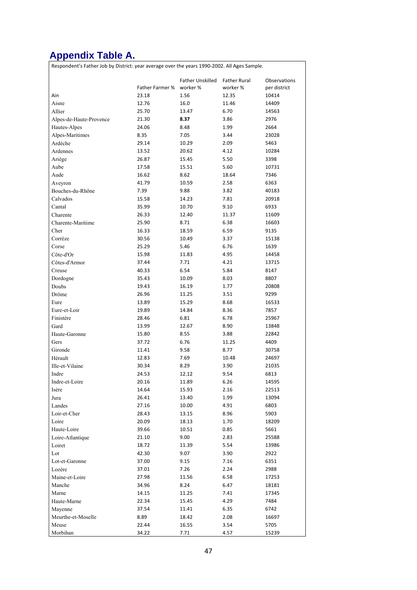## **Appendix Table A.**

Respondent's Father Job by District: year average over the years 1990‐2002. All Ages Sample.

|                         |                 | Father Unskilled | <b>Father Rural</b> | Observations |
|-------------------------|-----------------|------------------|---------------------|--------------|
|                         | Father Farmer % | worker%          | worker %            | per district |
| Ain                     | 23.18           | 1.56             | 12.35               | 10414        |
| Aisne                   | 12.76           | 16.0             | 11.46               | 14409        |
| Allier                  | 25.70           | 13.47            | 6.70                | 14563        |
| Alpes-de-Haute-Provence | 21.30           | 8.37             | 3.86                | 2976         |
| Hautes-Alpes            | 24.06           | 8.48             | 1.99                | 2664         |
| Alpes-Maritimes         | 8.35            | 7.05             | 3.44                | 23028        |
| Ardèche                 | 29.14           | 10.29            | 2.09                | 5463         |
| Ardennes                | 13.52           | 20.62            | 4.12                | 10284        |
| Ariège                  | 26.87           | 15.45            | 5.50                | 3398         |
| Aube                    | 17.58           | 15.51            | 5.60                | 10731        |
| Aude                    | 16.62           | 8.62             | 18.64               | 7346         |
| Aveyron                 | 41.79           | 10.59            | 2.58                | 6363         |
| Bouches-du-Rhône        | 7.39            | 9.88             | 3.82                | 40183        |
| Calvados                | 15.58           | 14.23            | 7.81                | 20918        |
| Cantal                  | 35.99           | 10.70            | 9.10                | 6933         |
| Charente                | 26.33           | 12.40            | 11.37               | 11609        |
| Charente-Maritime       | 25.90           | 8.71             | 6.38                | 16603        |
| Cher                    | 16.33           | 18.59            | 6.59                | 9135         |
| Corrèze                 | 30.56           | 10.49            | 3.37                | 15138        |
| Corse                   | 25.29           | 5.46             | 6.76                | 1639         |
| Côte-d'Or               | 15.98           | 11.83            | 4.95                | 14458        |
| Côtes-d'Armor           | 37.44           | 7.71             | 4.21                | 13715        |
| Creuse                  | 40.33           | 6.54             | 5.84                | 8147         |
| Dordogne                | 35.43           | 10.09            | 8.03                | 8807         |
| Doubs                   | 19.43           | 16.19            | 1.77                | 20808        |
| Drôme                   | 26.96           | 11.25            | 3.51                | 9299         |
| Eure                    | 13.89           | 15.29            | 8.68                | 16533        |
| Eure-et-Loir            | 19.89           | 14.84            | 8.36                | 7857         |
| Finistère               | 28.46           | 6.81             | 6.78                | 25967        |
| Gard                    | 13.99           | 12.67            | 8.90                | 13848        |
| Haute-Garonne           | 15.80           | 8.55             | 3.88                | 22842        |
| Gers                    | 37.72           | 6.76             | 11.25               | 4409         |
| Gironde                 | 11.41           | 9.58             | 8.77                | 30758        |
| Hérault                 | 12.83           | 7.69             | 10.48               | 24697        |
| Ille-et-Vilaine         | 30.34           | 8.29             | 3.90                | 21035        |
| Indre                   | 24.53           | 12.12            | 9.54                | 6813         |
| Indre-et-Loire          | 20.16           | 11.89            | 6.26                | 14595        |
| Isère                   | 14.64           | 15.93            | 2.16                | 22513        |
| Jura                    | 26.41           | 13.40            | 1.99                | 13094        |
| Landes                  | 27.16           | 10.00            | 4.91                | 6803         |
| Loir-et-Cher            | 28.43           | 13.15            | 8.96                | 5903         |
| Loire                   | 20.09           | 18.13            | 1.70                | 18209        |
| Haute-Loire             | 39.66           | 10.51            | 0.85                | 5661         |
| Loire-Atlantique        | 21.10           | 9.00             | 2.83                | 25588        |
| Loiret                  | 18.72           | 11.39            | 5.54                | 13986        |
| Lot                     | 42.30           | 9.07             | 3.90                | 2922         |
| Lot-et-Garonne          | 37.00           | 9.15             | 7.16                | 6351         |
| Lozère                  | 37.01           | 7.26             | 2.24                | 2988         |
| Maine-et-Loire          | 27.98           | 11.56            | 6.58                | 17253        |
| Manche                  | 34.96           | 8.24             | 6.47                | 18181        |
| Marne                   | 14.15           | 11.25            | 7.41                | 17345        |
| Haute-Marne             | 22.34           | 15.45            | 4.29                | 7484         |
| Mayenne                 | 37.54           | 11.41            | 6.35                | 6742         |
| Meurthe-et-Moselle      | 8.89            | 18.42            | 2.08                | 16697        |
| Meuse                   | 22.44           | 16.55            | 3.54                | 5705         |
| Morbihan                | 34.22           | 7.71             | 4.57                | 15239        |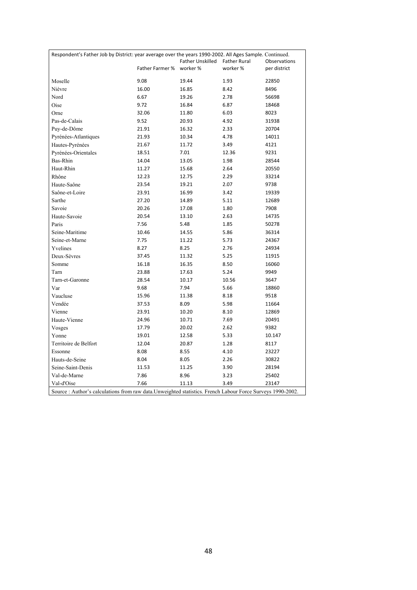| Respondent's Father Job by District: year average over the years 1990-2002. All Ages Sample. Continued.     |                 |                               |          |              |
|-------------------------------------------------------------------------------------------------------------|-----------------|-------------------------------|----------|--------------|
|                                                                                                             |                 | Father Unskilled Father Rural |          | Observations |
|                                                                                                             | Father Farmer % | worker%                       | worker % | per district |
| Moselle                                                                                                     | 9.08            | 19.44                         | 1.93     | 22850        |
| Nièvre                                                                                                      | 16.00           | 16.85                         | 8.42     | 8496         |
| Nord                                                                                                        | 6.67            | 19.26                         | 2.78     | 56698        |
| Oise                                                                                                        | 9.72            | 16.84                         | 6.87     | 18468        |
| Orne                                                                                                        | 32.06           | 11.80                         | 6.03     | 8023         |
| Pas-de-Calais                                                                                               | 9.52            | 20.93                         | 4.92     | 31938        |
| Puy-de-Dôme                                                                                                 | 21.91           | 16.32                         | 2.33     | 20704        |
| Pyrénées-Atlantiques                                                                                        | 21.93           | 10.34                         | 4.78     | 14011        |
| Hautes-Pyrénées                                                                                             | 21.67           | 11.72                         | 3.49     | 4121         |
| Pyrénées-Orientales                                                                                         | 18.51           | 7.01                          | 12.36    | 9231         |
| Bas-Rhin                                                                                                    | 14.04           | 13.05                         | 1.98     | 28544        |
| Haut-Rhin                                                                                                   | 11.27           | 15.68                         | 2.64     | 20550        |
| Rhône                                                                                                       | 12.23           | 12.75                         | 2.29     | 33214        |
| Haute-Saône                                                                                                 | 23.54           | 19.21                         | 2.07     | 9738         |
| Saône-et-Loire                                                                                              | 23.91           | 16.99                         | 3.42     | 19339        |
| Sarthe                                                                                                      | 27.20           | 14.89                         | 5.11     | 12689        |
| Savoie                                                                                                      | 20.26           | 17.08                         | 1.80     | 7908         |
| Haute-Savoie                                                                                                | 20.54           | 13.10                         | 2.63     | 14735        |
| Paris                                                                                                       | 7.56            | 5.48                          | 1.85     | 50278        |
| Seine-Maritime                                                                                              | 10.46           | 14.55                         | 5.86     | 36314        |
| Seine-et-Marne                                                                                              | 7.75            | 11.22                         | 5.73     | 24367        |
| Yvelines                                                                                                    | 8.27            | 8.25                          | 2.76     | 24934        |
| Deux-Sèvres                                                                                                 | 37.45           | 11.32                         | 5.25     | 11915        |
| Somme                                                                                                       | 16.18           | 16.35                         | 8.50     | 16060        |
| Tarn                                                                                                        | 23.88           | 17.63                         | 5.24     | 9949         |
| Tarn-et-Garonne                                                                                             | 28.54           | 10.17                         | 10.56    | 3647         |
| Var                                                                                                         | 9.68            | 7.94                          | 5.66     | 18860        |
| Vaucluse                                                                                                    | 15.96           | 11.38                         | 8.18     | 9518         |
| Vendée                                                                                                      | 37.53           | 8.09                          | 5.98     | 11664        |
| Vienne                                                                                                      | 23.91           | 10.20                         | 8.10     | 12869        |
| Haute-Vienne                                                                                                | 24.96           | 10.71                         | 7.69     | 20491        |
| Vosges                                                                                                      | 17.79           | 20.02                         | 2.62     | 9382         |
| Yonne                                                                                                       | 19.01           | 12.58                         | 5.33     | 10.147       |
| Territoire de Belfort                                                                                       | 12.04           | 20.87                         | 1.28     | 8117         |
| Essonne                                                                                                     | 8.08            | 8.55                          | 4.10     | 23227        |
| Hauts-de-Seine                                                                                              | 8.04            | 8.05                          | 2.26     | 30822        |
| Seine-Saint-Denis                                                                                           | 11.53           | 11.25                         | 3.90     | 28194        |
| Val-de-Marne                                                                                                | 7.86            | 8.96                          | 3.23     | 25402        |
| Val-d'Oise                                                                                                  | 7.66            | 11.13                         | 3.49     | 23147        |
| Source : Author's calculations from raw data. Unweighted statistics. French Labour Force Surveys 1990-2002. |                 |                               |          |              |